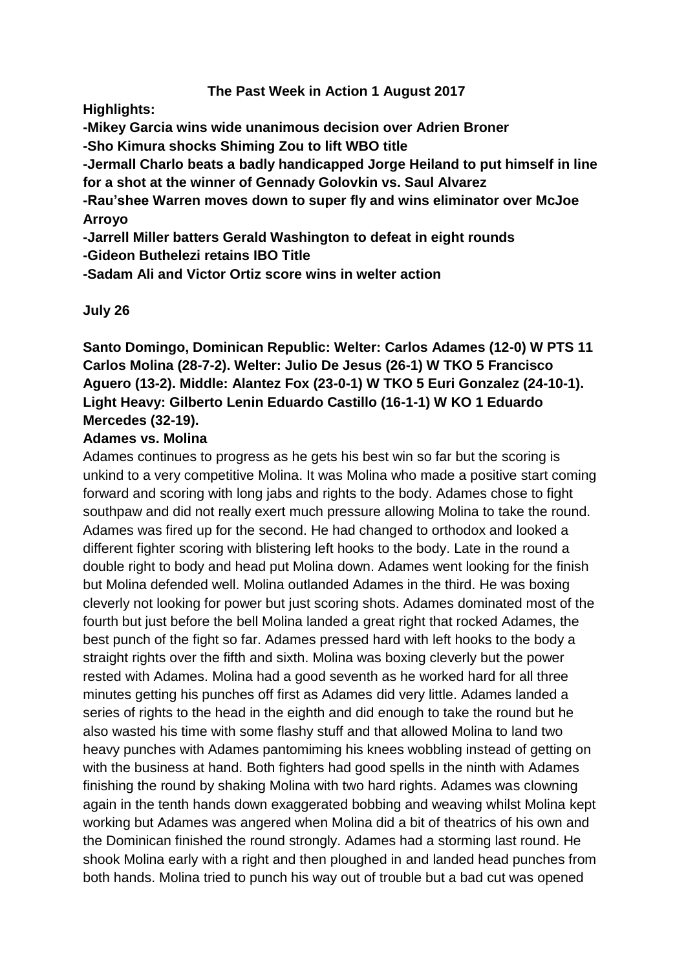### **The Past Week in Action 1 August 2017**

**Highlights:**

**-Mikey Garcia wins wide unanimous decision over Adrien Broner**

**-Sho Kimura shocks Shiming Zou to lift WBO title**

**-Jermall Charlo beats a badly handicapped Jorge Heiland to put himself in line for a shot at the winner of Gennady Golovkin vs. Saul Alvarez**

**-Rau'shee Warren moves down to super fly and wins eliminator over McJoe Arroyo**

**-Jarrell Miller batters Gerald Washington to defeat in eight rounds**

**-Gideon Buthelezi retains IBO Title**

**-Sadam Ali and Victor Ortiz score wins in welter action**

**July 26**

**Santo Domingo, Dominican Republic: Welter: Carlos Adames (12-0) W PTS 11 Carlos Molina (28-7-2). Welter: Julio De Jesus (26-1) W TKO 5 Francisco Aguero (13-2). Middle: Alantez Fox (23-0-1) W TKO 5 Euri Gonzalez (24-10-1). Light Heavy: Gilberto Lenin Eduardo Castillo (16-1-1) W KO 1 Eduardo Mercedes (32-19).**

### **Adames vs. Molina**

Adames continues to progress as he gets his best win so far but the scoring is unkind to a very competitive Molina. It was Molina who made a positive start coming forward and scoring with long jabs and rights to the body. Adames chose to fight southpaw and did not really exert much pressure allowing Molina to take the round. Adames was fired up for the second. He had changed to orthodox and looked a different fighter scoring with blistering left hooks to the body. Late in the round a double right to body and head put Molina down. Adames went looking for the finish but Molina defended well. Molina outlanded Adames in the third. He was boxing cleverly not looking for power but just scoring shots. Adames dominated most of the fourth but just before the bell Molina landed a great right that rocked Adames, the best punch of the fight so far. Adames pressed hard with left hooks to the body a straight rights over the fifth and sixth. Molina was boxing cleverly but the power rested with Adames. Molina had a good seventh as he worked hard for all three minutes getting his punches off first as Adames did very little. Adames landed a series of rights to the head in the eighth and did enough to take the round but he also wasted his time with some flashy stuff and that allowed Molina to land two heavy punches with Adames pantomiming his knees wobbling instead of getting on with the business at hand. Both fighters had good spells in the ninth with Adames finishing the round by shaking Molina with two hard rights. Adames was clowning again in the tenth hands down exaggerated bobbing and weaving whilst Molina kept working but Adames was angered when Molina did a bit of theatrics of his own and the Dominican finished the round strongly. Adames had a storming last round. He shook Molina early with a right and then ploughed in and landed head punches from both hands. Molina tried to punch his way out of trouble but a bad cut was opened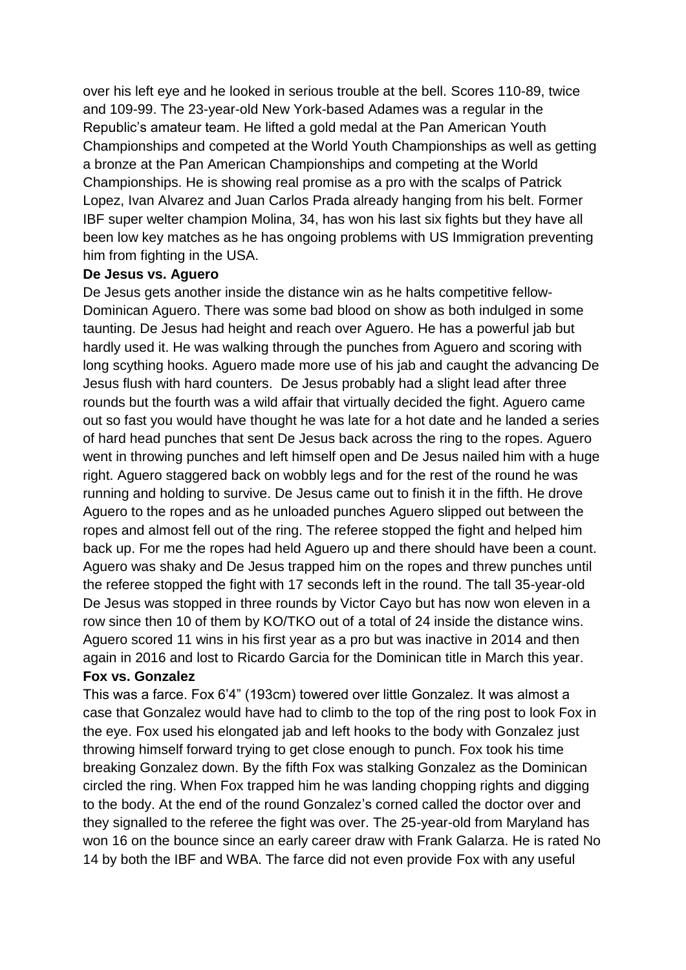over his left eye and he looked in serious trouble at the bell. Scores 110-89, twice and 109-99. The 23-year-old New York-based Adames was a regular in the Republic's amateur team. He lifted a gold medal at the Pan American Youth Championships and competed at the World Youth Championships as well as getting a bronze at the Pan American Championships and competing at the World Championships. He is showing real promise as a pro with the scalps of Patrick Lopez, Ivan Alvarez and Juan Carlos Prada already hanging from his belt. Former IBF super welter champion Molina, 34, has won his last six fights but they have all been low key matches as he has ongoing problems with US Immigration preventing him from fighting in the USA.

#### **De Jesus vs. Aguero**

De Jesus gets another inside the distance win as he halts competitive fellow-Dominican Aguero. There was some bad blood on show as both indulged in some taunting. De Jesus had height and reach over Aguero. He has a powerful jab but hardly used it. He was walking through the punches from Aguero and scoring with long scything hooks. Aguero made more use of his jab and caught the advancing De Jesus flush with hard counters. De Jesus probably had a slight lead after three rounds but the fourth was a wild affair that virtually decided the fight. Aguero came out so fast you would have thought he was late for a hot date and he landed a series of hard head punches that sent De Jesus back across the ring to the ropes. Aguero went in throwing punches and left himself open and De Jesus nailed him with a huge right. Aguero staggered back on wobbly legs and for the rest of the round he was running and holding to survive. De Jesus came out to finish it in the fifth. He drove Aguero to the ropes and as he unloaded punches Aguero slipped out between the ropes and almost fell out of the ring. The referee stopped the fight and helped him back up. For me the ropes had held Aguero up and there should have been a count. Aguero was shaky and De Jesus trapped him on the ropes and threw punches until the referee stopped the fight with 17 seconds left in the round. The tall 35-year-old De Jesus was stopped in three rounds by Victor Cayo but has now won eleven in a row since then 10 of them by KO/TKO out of a total of 24 inside the distance wins. Aguero scored 11 wins in his first year as a pro but was inactive in 2014 and then again in 2016 and lost to Ricardo Garcia for the Dominican title in March this year.

### **Fox vs. Gonzalez**

This was a farce. Fox 6'4" (193cm) towered over little Gonzalez. It was almost a case that Gonzalez would have had to climb to the top of the ring post to look Fox in the eye. Fox used his elongated jab and left hooks to the body with Gonzalez just throwing himself forward trying to get close enough to punch. Fox took his time breaking Gonzalez down. By the fifth Fox was stalking Gonzalez as the Dominican circled the ring. When Fox trapped him he was landing chopping rights and digging to the body. At the end of the round Gonzalez's corned called the doctor over and they signalled to the referee the fight was over. The 25-year-old from Maryland has won 16 on the bounce since an early career draw with Frank Galarza. He is rated No 14 by both the IBF and WBA. The farce did not even provide Fox with any useful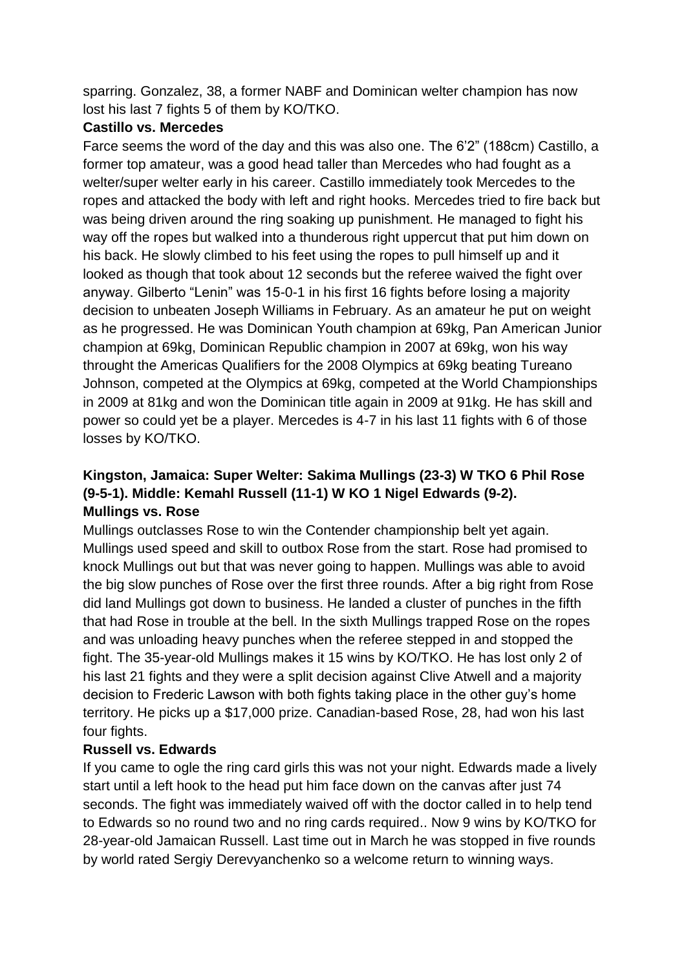sparring. Gonzalez, 38, a former NABF and Dominican welter champion has now lost his last 7 fights 5 of them by KO/TKO.

### **Castillo vs. Mercedes**

Farce seems the word of the day and this was also one. The 6'2" (188cm) Castillo, a former top amateur, was a good head taller than Mercedes who had fought as a welter/super welter early in his career. Castillo immediately took Mercedes to the ropes and attacked the body with left and right hooks. Mercedes tried to fire back but was being driven around the ring soaking up punishment. He managed to fight his way off the ropes but walked into a thunderous right uppercut that put him down on his back. He slowly climbed to his feet using the ropes to pull himself up and it looked as though that took about 12 seconds but the referee waived the fight over anyway. Gilberto "Lenin" was 15-0-1 in his first 16 fights before losing a majority decision to unbeaten Joseph Williams in February. As an amateur he put on weight as he progressed. He was Dominican Youth champion at 69kg, Pan American Junior champion at 69kg, Dominican Republic champion in 2007 at 69kg, won his way throught the Americas Qualifiers for the 2008 Olympics at 69kg beating Tureano Johnson, competed at the Olympics at 69kg, competed at the World Championships in 2009 at 81kg and won the Dominican title again in 2009 at 91kg. He has skill and power so could yet be a player. Mercedes is 4-7 in his last 11 fights with 6 of those losses by KO/TKO.

# **Kingston, Jamaica: Super Welter: Sakima Mullings (23-3) W TKO 6 Phil Rose (9-5-1). Middle: Kemahl Russell (11-1) W KO 1 Nigel Edwards (9-2). Mullings vs. Rose**

Mullings outclasses Rose to win the Contender championship belt yet again. Mullings used speed and skill to outbox Rose from the start. Rose had promised to knock Mullings out but that was never going to happen. Mullings was able to avoid the big slow punches of Rose over the first three rounds. After a big right from Rose did land Mullings got down to business. He landed a cluster of punches in the fifth that had Rose in trouble at the bell. In the sixth Mullings trapped Rose on the ropes and was unloading heavy punches when the referee stepped in and stopped the fight. The 35-year-old Mullings makes it 15 wins by KO/TKO. He has lost only 2 of his last 21 fights and they were a split decision against Clive Atwell and a majority decision to Frederic Lawson with both fights taking place in the other guy's home territory. He picks up a \$17,000 prize. Canadian-based Rose, 28, had won his last four fights.

### **Russell vs. Edwards**

If you came to ogle the ring card girls this was not your night. Edwards made a lively start until a left hook to the head put him face down on the canvas after just 74 seconds. The fight was immediately waived off with the doctor called in to help tend to Edwards so no round two and no ring cards required.. Now 9 wins by KO/TKO for 28-year-old Jamaican Russell. Last time out in March he was stopped in five rounds by world rated Sergiy Derevyanchenko so a welcome return to winning ways.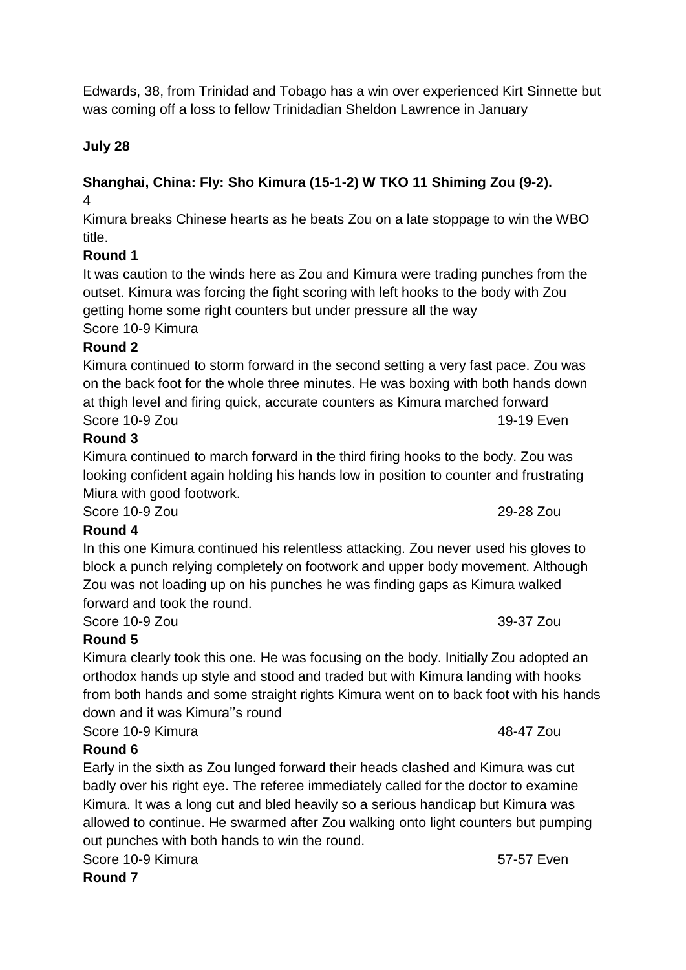Edwards, 38, from Trinidad and Tobago has a win over experienced Kirt Sinnette but was coming off a loss to fellow Trinidadian Sheldon Lawrence in January

# **July 28**

#### **Shanghai, China: Fly: Sho Kimura (15-1-2) W TKO 11 Shiming Zou (9-2).** 4

Kimura breaks Chinese hearts as he beats Zou on a late stoppage to win the WBO title.

# **Round 1**

It was caution to the winds here as Zou and Kimura were trading punches from the outset. Kimura was forcing the fight scoring with left hooks to the body with Zou getting home some right counters but under pressure all the way Score 10-9 Kimura

# **Round 2**

Kimura continued to storm forward in the second setting a very fast pace. Zou was on the back foot for the whole three minutes. He was boxing with both hands down at thigh level and firing quick, accurate counters as Kimura marched forward Score 10-9 Zou 19-19 Even

# **Round 3**

Kimura continued to march forward in the third firing hooks to the body. Zou was looking confident again holding his hands low in position to counter and frustrating Miura with good footwork.

Score 10-9 Zou 29-28 Zou

# **Round 4**

In this one Kimura continued his relentless attacking. Zou never used his gloves to block a punch relying completely on footwork and upper body movement. Although Zou was not loading up on his punches he was finding gaps as Kimura walked forward and took the round.

Score 10-9 Zou 39-37 Zou 39-37 Zou

# **Round 5**

Kimura clearly took this one. He was focusing on the body. Initially Zou adopted an orthodox hands up style and stood and traded but with Kimura landing with hooks from both hands and some straight rights Kimura went on to back foot with his hands down and it was Kimura''s round

Score 10-9 Kimura **48-47** Zou

# **Round 6**

Early in the sixth as Zou lunged forward their heads clashed and Kimura was cut badly over his right eye. The referee immediately called for the doctor to examine Kimura. It was a long cut and bled heavily so a serious handicap but Kimura was allowed to continue. He swarmed after Zou walking onto light counters but pumping out punches with both hands to win the round.

Score 10-9 Kimura 67-57 Even

**Round 7**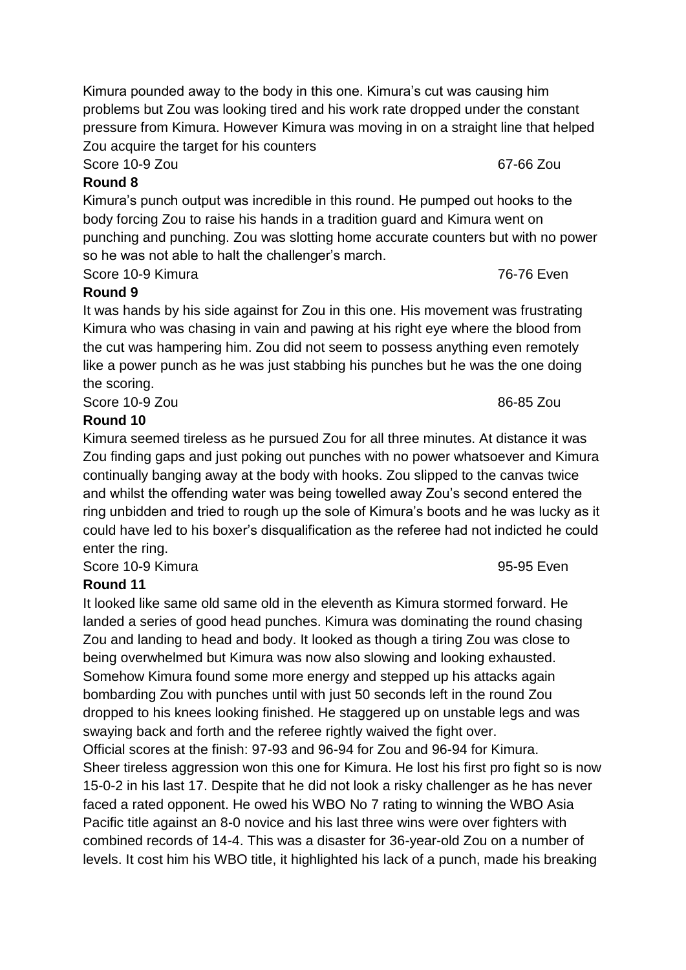Kimura pounded away to the body in this one. Kimura's cut was causing him problems but Zou was looking tired and his work rate dropped under the constant pressure from Kimura. However Kimura was moving in on a straight line that helped Zou acquire the target for his counters

Score 10-9 Zou 67-66 Zou

# **Round 8**

Kimura's punch output was incredible in this round. He pumped out hooks to the body forcing Zou to raise his hands in a tradition guard and Kimura went on punching and punching. Zou was slotting home accurate counters but with no power so he was not able to halt the challenger's march.

Score 10-9 Kimura 76-76 Even

# **Round 9**

It was hands by his side against for Zou in this one. His movement was frustrating Kimura who was chasing in vain and pawing at his right eye where the blood from the cut was hampering him. Zou did not seem to possess anything even remotely like a power punch as he was just stabbing his punches but he was the one doing the scoring.

Score 10-9 Zou 86-85 Zou and 200 and 200 and 36-85 Zou and 36-85 Zou and 36-85 Zou and 36-85 Zou and 36-85 Zou

# **Round 10**

Kimura seemed tireless as he pursued Zou for all three minutes. At distance it was Zou finding gaps and just poking out punches with no power whatsoever and Kimura continually banging away at the body with hooks. Zou slipped to the canvas twice and whilst the offending water was being towelled away Zou's second entered the ring unbidden and tried to rough up the sole of Kimura's boots and he was lucky as it could have led to his boxer's disqualification as the referee had not indicted he could enter the ring.

Score 10-9 Kimura 95-95 Even

# **Round 11**

It looked like same old same old in the eleventh as Kimura stormed forward. He landed a series of good head punches. Kimura was dominating the round chasing Zou and landing to head and body. It looked as though a tiring Zou was close to being overwhelmed but Kimura was now also slowing and looking exhausted. Somehow Kimura found some more energy and stepped up his attacks again bombarding Zou with punches until with just 50 seconds left in the round Zou dropped to his knees looking finished. He staggered up on unstable legs and was swaying back and forth and the referee rightly waived the fight over. Official scores at the finish: 97-93 and 96-94 for Zou and 96-94 for Kimura. Sheer tireless aggression won this one for Kimura. He lost his first pro fight so is now 15-0-2 in his last 17. Despite that he did not look a risky challenger as he has never faced a rated opponent. He owed his WBO No 7 rating to winning the WBO Asia Pacific title against an 8-0 novice and his last three wins were over fighters with combined records of 14-4. This was a disaster for 36-year-old Zou on a number of levels. It cost him his WBO title, it highlighted his lack of a punch, made his breaking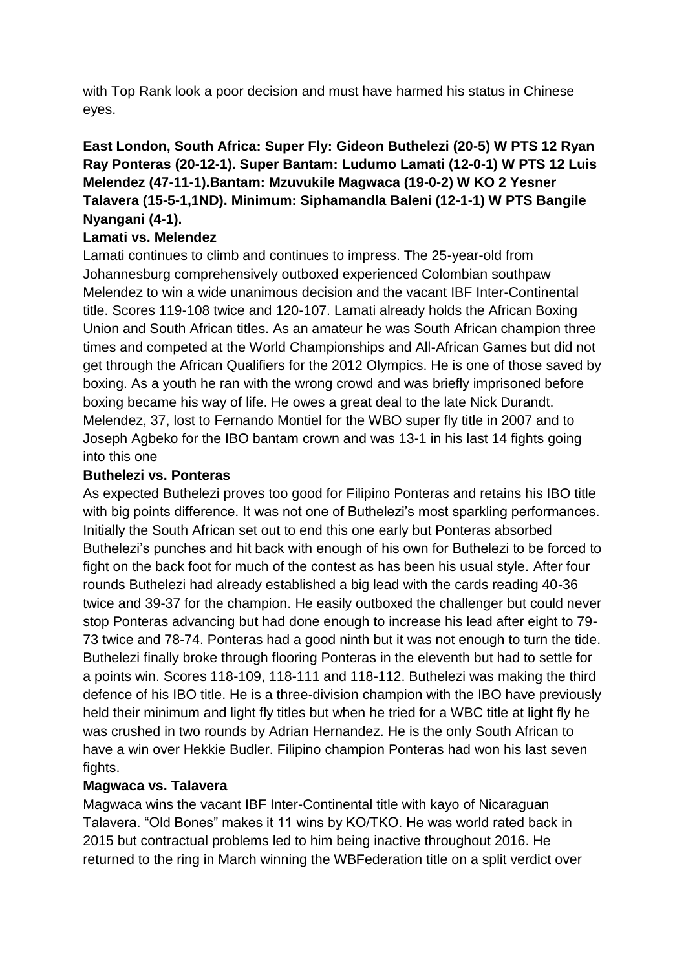with Top Rank look a poor decision and must have harmed his status in Chinese eyes.

# **East London, South Africa: Super Fly: Gideon Buthelezi (20-5) W PTS 12 Ryan Ray Ponteras (20-12-1). Super Bantam: Ludumo Lamati (12-0-1) W PTS 12 Luis Melendez (47-11-1).Bantam: Mzuvukile Magwaca (19-0-2) W KO 2 Yesner Talavera (15-5-1,1ND). Minimum: Siphamandla Baleni (12-1-1) W PTS Bangile Nyangani (4-1).**

# **Lamati vs. Melendez**

Lamati continues to climb and continues to impress. The 25-year-old from Johannesburg comprehensively outboxed experienced Colombian southpaw Melendez to win a wide unanimous decision and the vacant IBF Inter-Continental title. Scores 119-108 twice and 120-107. Lamati already holds the African Boxing Union and South African titles. As an amateur he was South African champion three times and competed at the World Championships and All-African Games but did not get through the African Qualifiers for the 2012 Olympics. He is one of those saved by boxing. As a youth he ran with the wrong crowd and was briefly imprisoned before boxing became his way of life. He owes a great deal to the late Nick Durandt. Melendez, 37, lost to Fernando Montiel for the WBO super fly title in 2007 and to Joseph Agbeko for the IBO bantam crown and was 13-1 in his last 14 fights going into this one

### **Buthelezi vs. Ponteras**

As expected Buthelezi proves too good for Filipino Ponteras and retains his IBO title with big points difference. It was not one of Buthelezi's most sparkling performances. Initially the South African set out to end this one early but Ponteras absorbed Buthelezi's punches and hit back with enough of his own for Buthelezi to be forced to fight on the back foot for much of the contest as has been his usual style. After four rounds Buthelezi had already established a big lead with the cards reading 40-36 twice and 39-37 for the champion. He easily outboxed the challenger but could never stop Ponteras advancing but had done enough to increase his lead after eight to 79- 73 twice and 78-74. Ponteras had a good ninth but it was not enough to turn the tide. Buthelezi finally broke through flooring Ponteras in the eleventh but had to settle for a points win. Scores 118-109, 118-111 and 118-112. Buthelezi was making the third defence of his IBO title. He is a three-division champion with the IBO have previously held their minimum and light fly titles but when he tried for a WBC title at light fly he was crushed in two rounds by Adrian Hernandez. He is the only South African to have a win over Hekkie Budler. Filipino champion Ponteras had won his last seven fights.

### **Magwaca vs. Talavera**

Magwaca wins the vacant IBF Inter-Continental title with kayo of Nicaraguan Talavera. "Old Bones" makes it 11 wins by KO/TKO. He was world rated back in 2015 but contractual problems led to him being inactive throughout 2016. He returned to the ring in March winning the WBFederation title on a split verdict over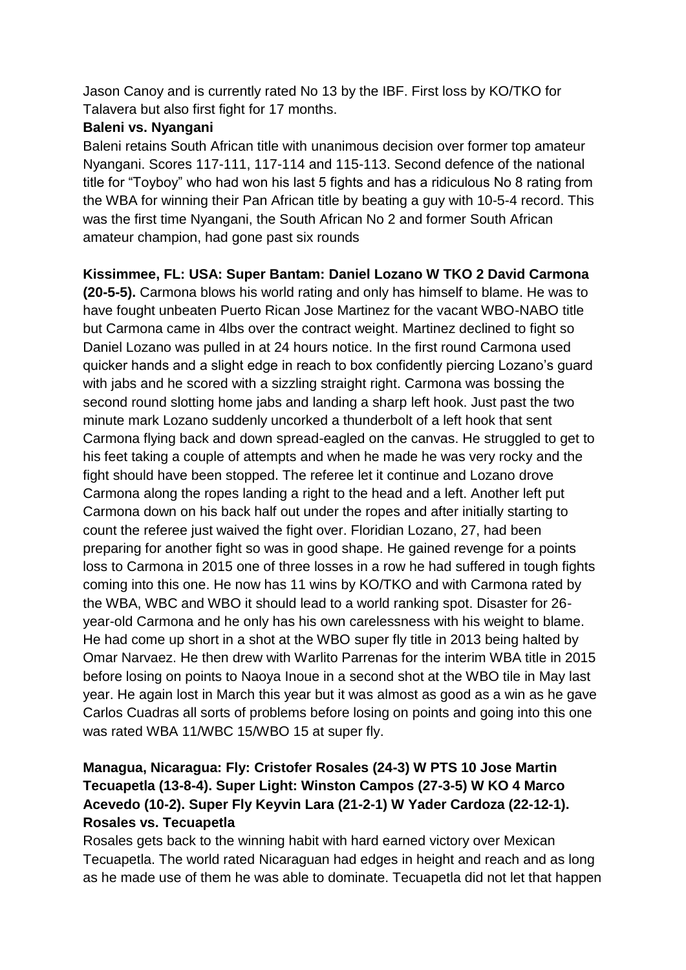Jason Canoy and is currently rated No 13 by the IBF. First loss by KO/TKO for Talavera but also first fight for 17 months.

### **Baleni vs. Nyangani**

Baleni retains South African title with unanimous decision over former top amateur Nyangani. Scores 117-111, 117-114 and 115-113. Second defence of the national title for "Toyboy" who had won his last 5 fights and has a ridiculous No 8 rating from the WBA for winning their Pan African title by beating a guy with 10-5-4 record. This was the first time Nyangani, the South African No 2 and former South African amateur champion, had gone past six rounds

# **Kissimmee, FL: USA: Super Bantam: Daniel Lozano W TKO 2 David Carmona**

**(20-5-5).** Carmona blows his world rating and only has himself to blame. He was to have fought unbeaten Puerto Rican Jose Martinez for the vacant WBO-NABO title but Carmona came in 4lbs over the contract weight. Martinez declined to fight so Daniel Lozano was pulled in at 24 hours notice. In the first round Carmona used quicker hands and a slight edge in reach to box confidently piercing Lozano's guard with jabs and he scored with a sizzling straight right. Carmona was bossing the second round slotting home jabs and landing a sharp left hook. Just past the two minute mark Lozano suddenly uncorked a thunderbolt of a left hook that sent Carmona flying back and down spread-eagled on the canvas. He struggled to get to his feet taking a couple of attempts and when he made he was very rocky and the fight should have been stopped. The referee let it continue and Lozano drove Carmona along the ropes landing a right to the head and a left. Another left put Carmona down on his back half out under the ropes and after initially starting to count the referee just waived the fight over. Floridian Lozano, 27, had been preparing for another fight so was in good shape. He gained revenge for a points loss to Carmona in 2015 one of three losses in a row he had suffered in tough fights coming into this one. He now has 11 wins by KO/TKO and with Carmona rated by the WBA, WBC and WBO it should lead to a world ranking spot. Disaster for 26 year-old Carmona and he only has his own carelessness with his weight to blame. He had come up short in a shot at the WBO super fly title in 2013 being halted by Omar Narvaez. He then drew with Warlito Parrenas for the interim WBA title in 2015 before losing on points to Naoya Inoue in a second shot at the WBO tile in May last year. He again lost in March this year but it was almost as good as a win as he gave Carlos Cuadras all sorts of problems before losing on points and going into this one was rated WBA 11/WBC 15/WBO 15 at super fly.

# **Managua, Nicaragua: Fly: Cristofer Rosales (24-3) W PTS 10 Jose Martin Tecuapetla (13-8-4). Super Light: Winston Campos (27-3-5) W KO 4 Marco Acevedo (10-2). Super Fly Keyvin Lara (21-2-1) W Yader Cardoza (22-12-1). Rosales vs. Tecuapetla**

Rosales gets back to the winning habit with hard earned victory over Mexican Tecuapetla. The world rated Nicaraguan had edges in height and reach and as long as he made use of them he was able to dominate. Tecuapetla did not let that happen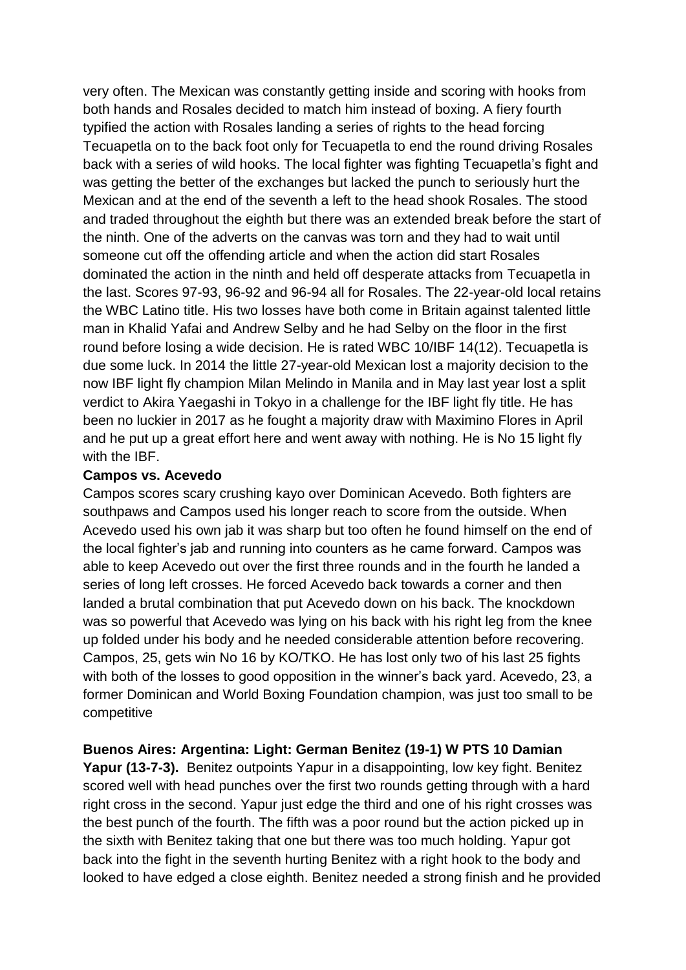very often. The Mexican was constantly getting inside and scoring with hooks from both hands and Rosales decided to match him instead of boxing. A fiery fourth typified the action with Rosales landing a series of rights to the head forcing Tecuapetla on to the back foot only for Tecuapetla to end the round driving Rosales back with a series of wild hooks. The local fighter was fighting Tecuapetla's fight and was getting the better of the exchanges but lacked the punch to seriously hurt the Mexican and at the end of the seventh a left to the head shook Rosales. The stood and traded throughout the eighth but there was an extended break before the start of the ninth. One of the adverts on the canvas was torn and they had to wait until someone cut off the offending article and when the action did start Rosales dominated the action in the ninth and held off desperate attacks from Tecuapetla in the last. Scores 97-93, 96-92 and 96-94 all for Rosales. The 22-year-old local retains the WBC Latino title. His two losses have both come in Britain against talented little man in Khalid Yafai and Andrew Selby and he had Selby on the floor in the first round before losing a wide decision. He is rated WBC 10/IBF 14(12). Tecuapetla is due some luck. In 2014 the little 27-year-old Mexican lost a majority decision to the now IBF light fly champion Milan Melindo in Manila and in May last year lost a split verdict to Akira Yaegashi in Tokyo in a challenge for the IBF light fly title. He has been no luckier in 2017 as he fought a majority draw with Maximino Flores in April and he put up a great effort here and went away with nothing. He is No 15 light fly with the IBF.

#### **Campos vs. Acevedo**

Campos scores scary crushing kayo over Dominican Acevedo. Both fighters are southpaws and Campos used his longer reach to score from the outside. When Acevedo used his own jab it was sharp but too often he found himself on the end of the local fighter's jab and running into counters as he came forward. Campos was able to keep Acevedo out over the first three rounds and in the fourth he landed a series of long left crosses. He forced Acevedo back towards a corner and then landed a brutal combination that put Acevedo down on his back. The knockdown was so powerful that Acevedo was lying on his back with his right leg from the knee up folded under his body and he needed considerable attention before recovering. Campos, 25, gets win No 16 by KO/TKO. He has lost only two of his last 25 fights with both of the losses to good opposition in the winner's back yard. Acevedo, 23, a former Dominican and World Boxing Foundation champion, was just too small to be competitive

### **Buenos Aires: Argentina: Light: German Benitez (19-1) W PTS 10 Damian**

**Yapur (13-7-3).** Benitez outpoints Yapur in a disappointing, low key fight. Benitez scored well with head punches over the first two rounds getting through with a hard right cross in the second. Yapur just edge the third and one of his right crosses was the best punch of the fourth. The fifth was a poor round but the action picked up in the sixth with Benitez taking that one but there was too much holding. Yapur got back into the fight in the seventh hurting Benitez with a right hook to the body and looked to have edged a close eighth. Benitez needed a strong finish and he provided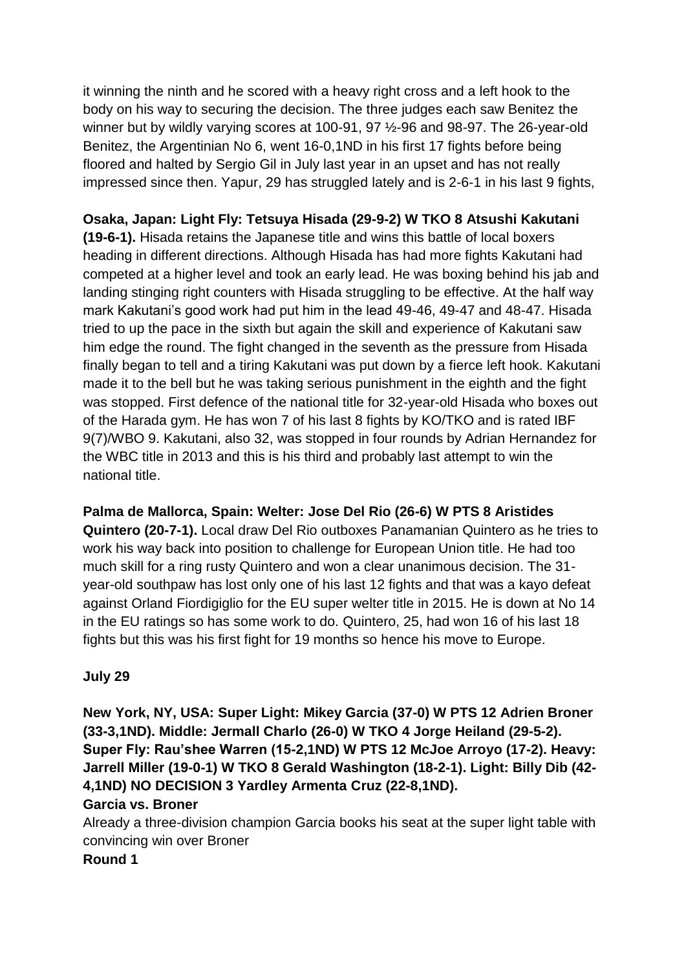it winning the ninth and he scored with a heavy right cross and a left hook to the body on his way to securing the decision. The three judges each saw Benitez the winner but by wildly varying scores at 100-91, 97 ½-96 and 98-97. The 26-year-old Benitez, the Argentinian No 6, went 16-0,1ND in his first 17 fights before being floored and halted by Sergio Gil in July last year in an upset and has not really impressed since then. Yapur, 29 has struggled lately and is 2-6-1 in his last 9 fights,

**Osaka, Japan: Light Fly: Tetsuya Hisada (29-9-2) W TKO 8 Atsushi Kakutani (19-6-1).** Hisada retains the Japanese title and wins this battle of local boxers heading in different directions. Although Hisada has had more fights Kakutani had competed at a higher level and took an early lead. He was boxing behind his jab and landing stinging right counters with Hisada struggling to be effective. At the half way mark Kakutani's good work had put him in the lead 49-46, 49-47 and 48-47. Hisada tried to up the pace in the sixth but again the skill and experience of Kakutani saw him edge the round. The fight changed in the seventh as the pressure from Hisada finally began to tell and a tiring Kakutani was put down by a fierce left hook. Kakutani made it to the bell but he was taking serious punishment in the eighth and the fight was stopped. First defence of the national title for 32-year-old Hisada who boxes out of the Harada gym. He has won 7 of his last 8 fights by KO/TKO and is rated IBF 9(7)/WBO 9. Kakutani, also 32, was stopped in four rounds by Adrian Hernandez for the WBC title in 2013 and this is his third and probably last attempt to win the national title.

**Palma de Mallorca, Spain: Welter: Jose Del Rio (26-6) W PTS 8 Aristides Quintero (20-7-1).** Local draw Del Rio outboxes Panamanian Quintero as he tries to work his way back into position to challenge for European Union title. He had too much skill for a ring rusty Quintero and won a clear unanimous decision. The 31 year-old southpaw has lost only one of his last 12 fights and that was a kayo defeat against Orland Fiordigiglio for the EU super welter title in 2015. He is down at No 14 in the EU ratings so has some work to do. Quintero, 25, had won 16 of his last 18 fights but this was his first fight for 19 months so hence his move to Europe.

### **July 29**

**New York, NY, USA: Super Light: Mikey Garcia (37-0) W PTS 12 Adrien Broner (33-3,1ND). Middle: Jermall Charlo (26-0) W TKO 4 Jorge Heiland (29-5-2). Super Fly: Rau'shee Warren (15-2,1ND) W PTS 12 McJoe Arroyo (17-2). Heavy: Jarrell Miller (19-0-1) W TKO 8 Gerald Washington (18-2-1). Light: Billy Dib (42- 4,1ND) NO DECISION 3 Yardley Armenta Cruz (22-8,1ND).**

## **Garcia vs. Broner**

Already a three-division champion Garcia books his seat at the super light table with convincing win over Broner

**Round 1**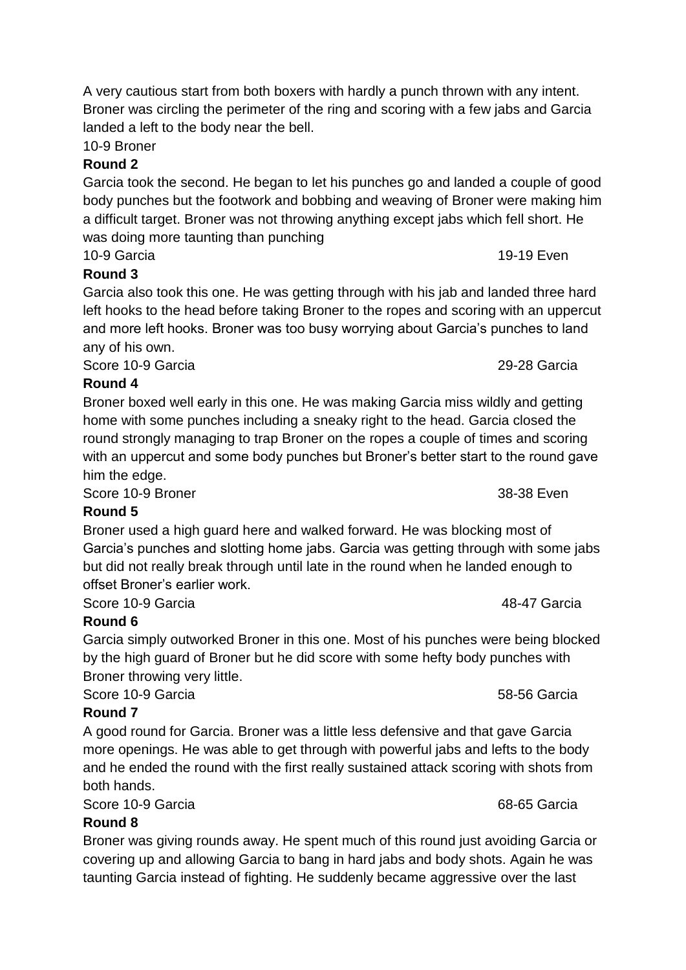10-9 Broner

# **Round 2**

Garcia took the second. He began to let his punches go and landed a couple of good body punches but the footwork and bobbing and weaving of Broner were making him a difficult target. Broner was not throwing anything except jabs which fell short. He was doing more taunting than punching

10-9 Garcia 19-19 Even

# **Round 3**

Garcia also took this one. He was getting through with his jab and landed three hard left hooks to the head before taking Broner to the ropes and scoring with an uppercut and more left hooks. Broner was too busy worrying about Garcia's punches to land any of his own.

Score 10-9 Garcia 29-28 Garcia

# **Round 4**

Broner boxed well early in this one. He was making Garcia miss wildly and getting home with some punches including a sneaky right to the head. Garcia closed the round strongly managing to trap Broner on the ropes a couple of times and scoring with an uppercut and some body punches but Broner's better start to the round gave him the edge.

Score 10-9 Broner 38-38 Even

### **Round 5**

Broner used a high guard here and walked forward. He was blocking most of Garcia's punches and slotting home jabs. Garcia was getting through with some jabs but did not really break through until late in the round when he landed enough to offset Broner's earlier work.

Score 10-9 Garcia 48-47 Garcia

# **Round 6**

Garcia simply outworked Broner in this one. Most of his punches were being blocked by the high guard of Broner but he did score with some hefty body punches with Broner throwing very little.

Score 10-9 Garcia 68-56 Garcia 68-56 Garcia 68-56 Garcia 68-56 Garcia 68-56 Garcia

# **Round 7**

A good round for Garcia. Broner was a little less defensive and that gave Garcia more openings. He was able to get through with powerful jabs and lefts to the body and he ended the round with the first really sustained attack scoring with shots from both hands.

Score 10-9 Garcia 68-65 Garcia

# **Round 8**

Broner was giving rounds away. He spent much of this round just avoiding Garcia or covering up and allowing Garcia to bang in hard jabs and body shots. Again he was taunting Garcia instead of fighting. He suddenly became aggressive over the last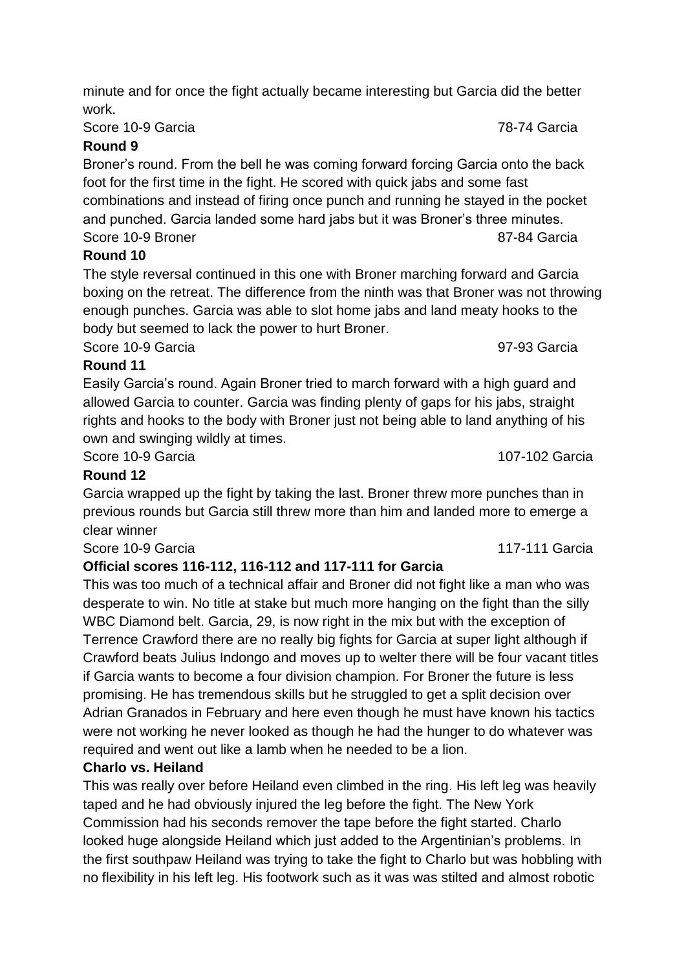Score 10-9 Garcia 78-74 Garcia

# **Round 9**

Broner's round. From the bell he was coming forward forcing Garcia onto the back foot for the first time in the fight. He scored with quick jabs and some fast combinations and instead of firing once punch and running he stayed in the pocket and punched. Garcia landed some hard jabs but it was Broner's three minutes. Score 10-9 Broner 87-84 Garcia

# **Round 10**

The style reversal continued in this one with Broner marching forward and Garcia boxing on the retreat. The difference from the ninth was that Broner was not throwing enough punches. Garcia was able to slot home jabs and land meaty hooks to the body but seemed to lack the power to hurt Broner.

Score 10-9 Garcia 2008 - 2009 - 2010 - 2021 - 2022 - 2022 - 2022 - 2023 Garcia

**Round 11** Easily Garcia's round. Again Broner tried to march forward with a high guard and allowed Garcia to counter. Garcia was finding plenty of gaps for his jabs, straight rights and hooks to the body with Broner just not being able to land anything of his own and swinging wildly at times.

Score 10-9 Garcia 2007-102 Garcia

# **Round 12**

Garcia wrapped up the fight by taking the last. Broner threw more punches than in previous rounds but Garcia still threw more than him and landed more to emerge a clear winner

Score 10-9 Garcia 2008 - 2009 117-111 Garcia

# **Official scores 116-112, 116-112 and 117-111 for Garcia**

This was too much of a technical affair and Broner did not fight like a man who was desperate to win. No title at stake but much more hanging on the fight than the silly WBC Diamond belt. Garcia, 29, is now right in the mix but with the exception of Terrence Crawford there are no really big fights for Garcia at super light although if Crawford beats Julius Indongo and moves up to welter there will be four vacant titles if Garcia wants to become a four division champion. For Broner the future is less promising. He has tremendous skills but he struggled to get a split decision over Adrian Granados in February and here even though he must have known his tactics were not working he never looked as though he had the hunger to do whatever was required and went out like a lamb when he needed to be a lion.

# **Charlo vs. Heiland**

This was really over before Heiland even climbed in the ring. His left leg was heavily taped and he had obviously injured the leg before the fight. The New York Commission had his seconds remover the tape before the fight started. Charlo looked huge alongside Heiland which just added to the Argentinian's problems. In the first southpaw Heiland was trying to take the fight to Charlo but was hobbling with no flexibility in his left leg. His footwork such as it was was stilted and almost robotic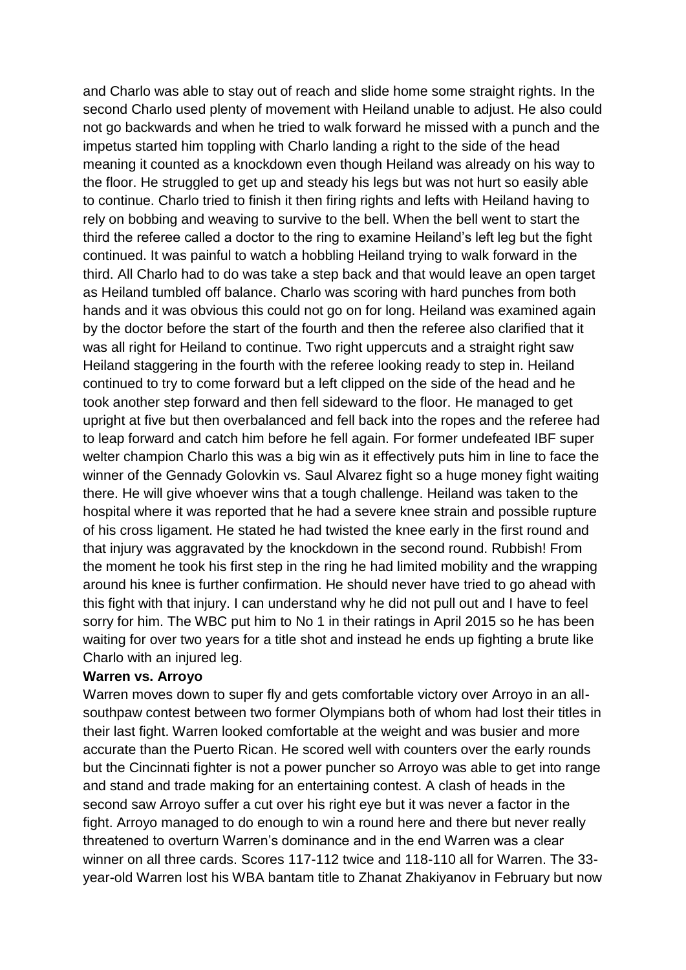and Charlo was able to stay out of reach and slide home some straight rights. In the second Charlo used plenty of movement with Heiland unable to adjust. He also could not go backwards and when he tried to walk forward he missed with a punch and the impetus started him toppling with Charlo landing a right to the side of the head meaning it counted as a knockdown even though Heiland was already on his way to the floor. He struggled to get up and steady his legs but was not hurt so easily able to continue. Charlo tried to finish it then firing rights and lefts with Heiland having to rely on bobbing and weaving to survive to the bell. When the bell went to start the third the referee called a doctor to the ring to examine Heiland's left leg but the fight continued. It was painful to watch a hobbling Heiland trying to walk forward in the third. All Charlo had to do was take a step back and that would leave an open target as Heiland tumbled off balance. Charlo was scoring with hard punches from both hands and it was obvious this could not go on for long. Heiland was examined again by the doctor before the start of the fourth and then the referee also clarified that it was all right for Heiland to continue. Two right uppercuts and a straight right saw Heiland staggering in the fourth with the referee looking ready to step in. Heiland continued to try to come forward but a left clipped on the side of the head and he took another step forward and then fell sideward to the floor. He managed to get upright at five but then overbalanced and fell back into the ropes and the referee had to leap forward and catch him before he fell again. For former undefeated IBF super welter champion Charlo this was a big win as it effectively puts him in line to face the winner of the Gennady Golovkin vs. Saul Alvarez fight so a huge money fight waiting there. He will give whoever wins that a tough challenge. Heiland was taken to the hospital where it was reported that he had a severe knee strain and possible rupture of his cross ligament. He stated he had twisted the knee early in the first round and that injury was aggravated by the knockdown in the second round. Rubbish! From the moment he took his first step in the ring he had limited mobility and the wrapping around his knee is further confirmation. He should never have tried to go ahead with this fight with that injury. I can understand why he did not pull out and I have to feel sorry for him. The WBC put him to No 1 in their ratings in April 2015 so he has been waiting for over two years for a title shot and instead he ends up fighting a brute like Charlo with an injured leg.

#### **Warren vs. Arroyo**

Warren moves down to super fly and gets comfortable victory over Arroyo in an allsouthpaw contest between two former Olympians both of whom had lost their titles in their last fight. Warren looked comfortable at the weight and was busier and more accurate than the Puerto Rican. He scored well with counters over the early rounds but the Cincinnati fighter is not a power puncher so Arroyo was able to get into range and stand and trade making for an entertaining contest. A clash of heads in the second saw Arroyo suffer a cut over his right eye but it was never a factor in the fight. Arroyo managed to do enough to win a round here and there but never really threatened to overturn Warren's dominance and in the end Warren was a clear winner on all three cards. Scores 117-112 twice and 118-110 all for Warren. The 33 year-old Warren lost his WBA bantam title to Zhanat Zhakiyanov in February but now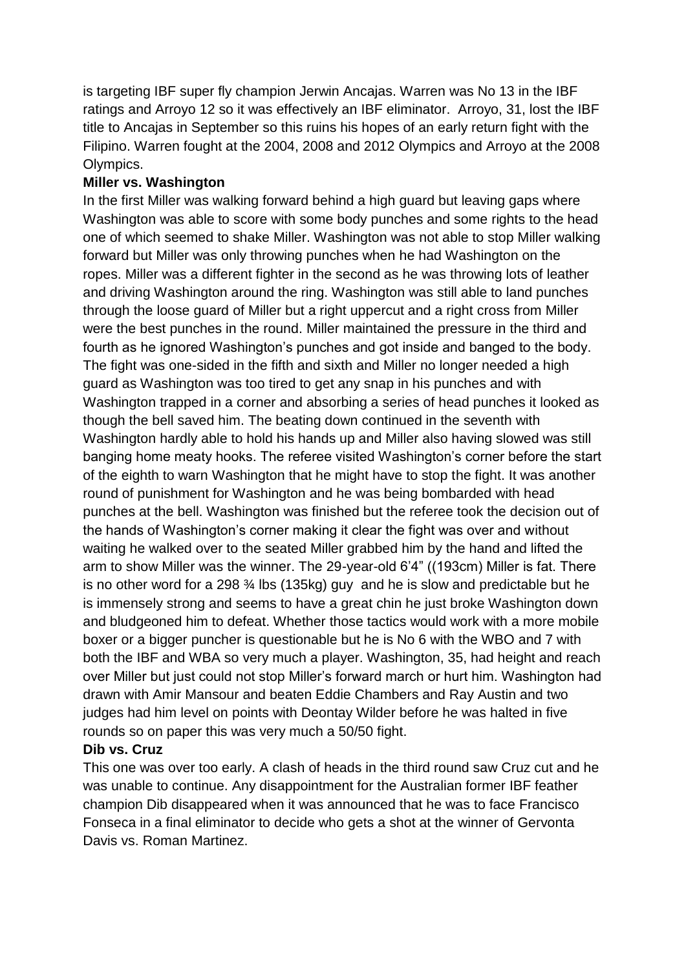is targeting IBF super fly champion Jerwin Ancajas. Warren was No 13 in the IBF ratings and Arroyo 12 so it was effectively an IBF eliminator. Arroyo, 31, lost the IBF title to Ancajas in September so this ruins his hopes of an early return fight with the Filipino. Warren fought at the 2004, 2008 and 2012 Olympics and Arroyo at the 2008 Olympics.

### **Miller vs. Washington**

In the first Miller was walking forward behind a high guard but leaving gaps where Washington was able to score with some body punches and some rights to the head one of which seemed to shake Miller. Washington was not able to stop Miller walking forward but Miller was only throwing punches when he had Washington on the ropes. Miller was a different fighter in the second as he was throwing lots of leather and driving Washington around the ring. Washington was still able to land punches through the loose guard of Miller but a right uppercut and a right cross from Miller were the best punches in the round. Miller maintained the pressure in the third and fourth as he ignored Washington's punches and got inside and banged to the body. The fight was one-sided in the fifth and sixth and Miller no longer needed a high guard as Washington was too tired to get any snap in his punches and with Washington trapped in a corner and absorbing a series of head punches it looked as though the bell saved him. The beating down continued in the seventh with Washington hardly able to hold his hands up and Miller also having slowed was still banging home meaty hooks. The referee visited Washington's corner before the start of the eighth to warn Washington that he might have to stop the fight. It was another round of punishment for Washington and he was being bombarded with head punches at the bell. Washington was finished but the referee took the decision out of the hands of Washington's corner making it clear the fight was over and without waiting he walked over to the seated Miller grabbed him by the hand and lifted the arm to show Miller was the winner. The 29-year-old 6'4" ((193cm) Miller is fat. There is no other word for a 298 ¾ lbs (135kg) guy and he is slow and predictable but he is immensely strong and seems to have a great chin he just broke Washington down and bludgeoned him to defeat. Whether those tactics would work with a more mobile boxer or a bigger puncher is questionable but he is No 6 with the WBO and 7 with both the IBF and WBA so very much a player. Washington, 35, had height and reach over Miller but just could not stop Miller's forward march or hurt him. Washington had drawn with Amir Mansour and beaten Eddie Chambers and Ray Austin and two judges had him level on points with Deontay Wilder before he was halted in five rounds so on paper this was very much a 50/50 fight.

### **Dib vs. Cruz**

This one was over too early. A clash of heads in the third round saw Cruz cut and he was unable to continue. Any disappointment for the Australian former IBF feather champion Dib disappeared when it was announced that he was to face Francisco Fonseca in a final eliminator to decide who gets a shot at the winner of Gervonta Davis vs. Roman Martinez.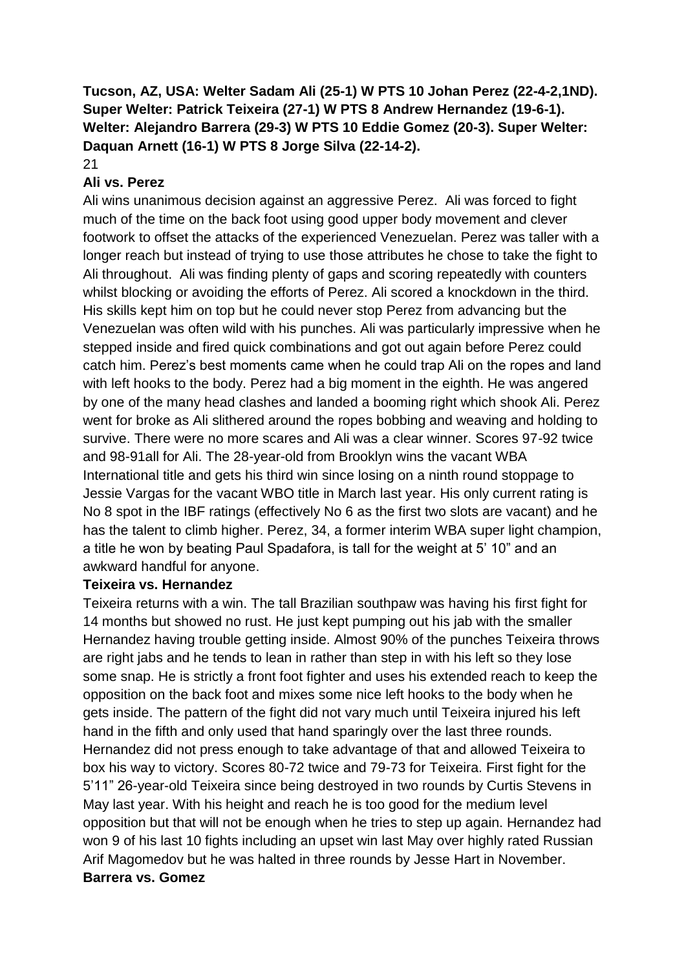# **Tucson, AZ, USA: Welter Sadam Ali (25-1) W PTS 10 Johan Perez (22-4-2,1ND). Super Welter: Patrick Teixeira (27-1) W PTS 8 Andrew Hernandez (19-6-1). Welter: Alejandro Barrera (29-3) W PTS 10 Eddie Gomez (20-3). Super Welter: Daquan Arnett (16-1) W PTS 8 Jorge Silva (22-14-2).**

21

### **Ali vs. Perez**

Ali wins unanimous decision against an aggressive Perez. Ali was forced to fight much of the time on the back foot using good upper body movement and clever footwork to offset the attacks of the experienced Venezuelan. Perez was taller with a longer reach but instead of trying to use those attributes he chose to take the fight to Ali throughout. Ali was finding plenty of gaps and scoring repeatedly with counters whilst blocking or avoiding the efforts of Perez. Ali scored a knockdown in the third. His skills kept him on top but he could never stop Perez from advancing but the Venezuelan was often wild with his punches. Ali was particularly impressive when he stepped inside and fired quick combinations and got out again before Perez could catch him. Perez's best moments came when he could trap Ali on the ropes and land with left hooks to the body. Perez had a big moment in the eighth. He was angered by one of the many head clashes and landed a booming right which shook Ali. Perez went for broke as Ali slithered around the ropes bobbing and weaving and holding to survive. There were no more scares and Ali was a clear winner. Scores 97-92 twice and 98-91all for Ali. The 28-year-old from Brooklyn wins the vacant WBA International title and gets his third win since losing on a ninth round stoppage to Jessie Vargas for the vacant WBO title in March last year. His only current rating is No 8 spot in the IBF ratings (effectively No 6 as the first two slots are vacant) and he has the talent to climb higher. Perez, 34, a former interim WBA super light champion, a title he won by beating Paul Spadafora, is tall for the weight at 5' 10" and an awkward handful for anyone.

### **Teixeira vs. Hernandez**

Teixeira returns with a win. The tall Brazilian southpaw was having his first fight for 14 months but showed no rust. He just kept pumping out his jab with the smaller Hernandez having trouble getting inside. Almost 90% of the punches Teixeira throws are right jabs and he tends to lean in rather than step in with his left so they lose some snap. He is strictly a front foot fighter and uses his extended reach to keep the opposition on the back foot and mixes some nice left hooks to the body when he gets inside. The pattern of the fight did not vary much until Teixeira injured his left hand in the fifth and only used that hand sparingly over the last three rounds. Hernandez did not press enough to take advantage of that and allowed Teixeira to box his way to victory. Scores 80-72 twice and 79-73 for Teixeira. First fight for the 5'11" 26-year-old Teixeira since being destroyed in two rounds by Curtis Stevens in May last year. With his height and reach he is too good for the medium level opposition but that will not be enough when he tries to step up again. Hernandez had won 9 of his last 10 fights including an upset win last May over highly rated Russian Arif Magomedov but he was halted in three rounds by Jesse Hart in November. **Barrera vs. Gomez**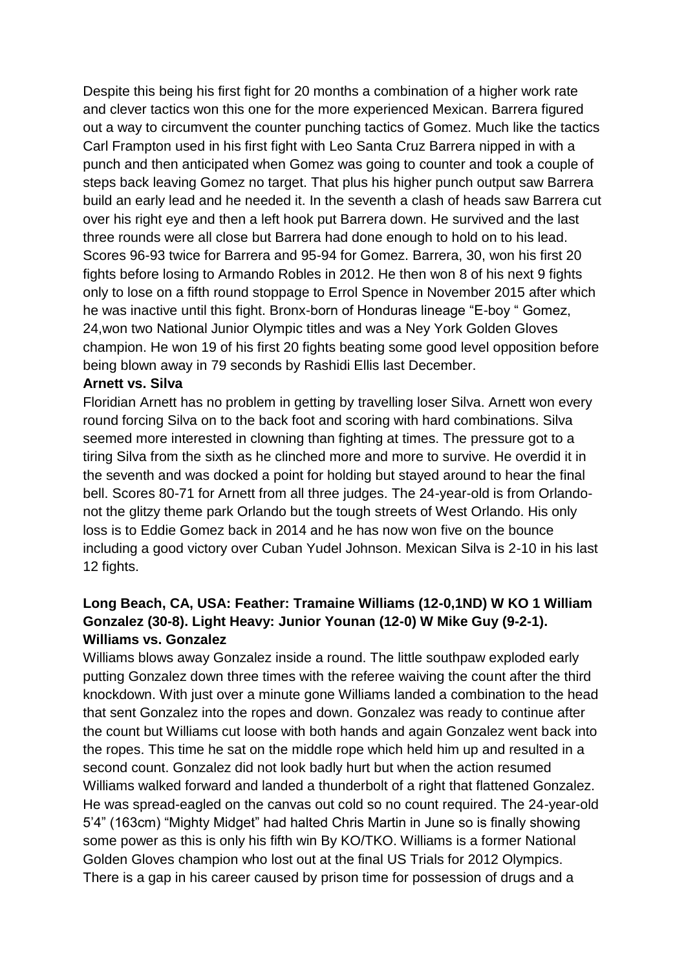Despite this being his first fight for 20 months a combination of a higher work rate and clever tactics won this one for the more experienced Mexican. Barrera figured out a way to circumvent the counter punching tactics of Gomez. Much like the tactics Carl Frampton used in his first fight with Leo Santa Cruz Barrera nipped in with a punch and then anticipated when Gomez was going to counter and took a couple of steps back leaving Gomez no target. That plus his higher punch output saw Barrera build an early lead and he needed it. In the seventh a clash of heads saw Barrera cut over his right eye and then a left hook put Barrera down. He survived and the last three rounds were all close but Barrera had done enough to hold on to his lead. Scores 96-93 twice for Barrera and 95-94 for Gomez. Barrera, 30, won his first 20 fights before losing to Armando Robles in 2012. He then won 8 of his next 9 fights only to lose on a fifth round stoppage to Errol Spence in November 2015 after which he was inactive until this fight. Bronx-born of Honduras lineage "E-boy " Gomez, 24,won two National Junior Olympic titles and was a Ney York Golden Gloves champion. He won 19 of his first 20 fights beating some good level opposition before being blown away in 79 seconds by Rashidi Ellis last December.

#### **Arnett vs. Silva**

Floridian Arnett has no problem in getting by travelling loser Silva. Arnett won every round forcing Silva on to the back foot and scoring with hard combinations. Silva seemed more interested in clowning than fighting at times. The pressure got to a tiring Silva from the sixth as he clinched more and more to survive. He overdid it in the seventh and was docked a point for holding but stayed around to hear the final bell. Scores 80-71 for Arnett from all three judges. The 24-year-old is from Orlandonot the glitzy theme park Orlando but the tough streets of West Orlando. His only loss is to Eddie Gomez back in 2014 and he has now won five on the bounce including a good victory over Cuban Yudel Johnson. Mexican Silva is 2-10 in his last 12 fights.

## **Long Beach, CA, USA: Feather: Tramaine Williams (12-0,1ND) W KO 1 William Gonzalez (30-8). Light Heavy: Junior Younan (12-0) W Mike Guy (9-2-1). Williams vs. Gonzalez**

Williams blows away Gonzalez inside a round. The little southpaw exploded early putting Gonzalez down three times with the referee waiving the count after the third knockdown. With just over a minute gone Williams landed a combination to the head that sent Gonzalez into the ropes and down. Gonzalez was ready to continue after the count but Williams cut loose with both hands and again Gonzalez went back into the ropes. This time he sat on the middle rope which held him up and resulted in a second count. Gonzalez did not look badly hurt but when the action resumed Williams walked forward and landed a thunderbolt of a right that flattened Gonzalez. He was spread-eagled on the canvas out cold so no count required. The 24-year-old 5'4" (163cm) "Mighty Midget" had halted Chris Martin in June so is finally showing some power as this is only his fifth win By KO/TKO. Williams is a former National Golden Gloves champion who lost out at the final US Trials for 2012 Olympics. There is a gap in his career caused by prison time for possession of drugs and a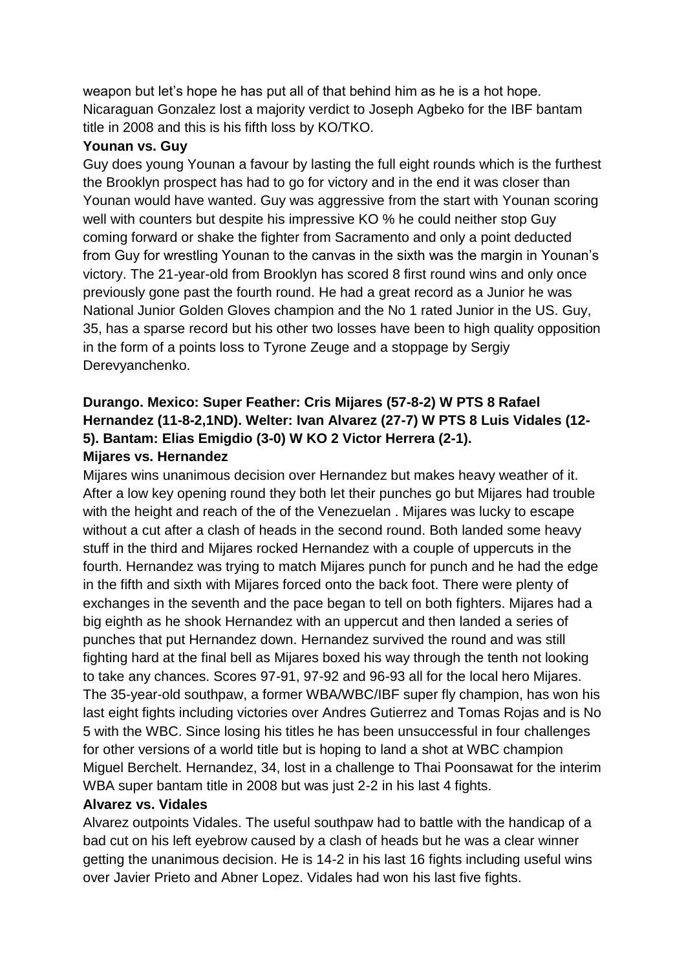weapon but let's hope he has put all of that behind him as he is a hot hope. Nicaraguan Gonzalez lost a majority verdict to Joseph Agbeko for the IBF bantam title in 2008 and this is his fifth loss by KO/TKO.

### **Younan vs. Guy**

Guy does young Younan a favour by lasting the full eight rounds which is the furthest the Brooklyn prospect has had to go for victory and in the end it was closer than Younan would have wanted. Guy was aggressive from the start with Younan scoring well with counters but despite his impressive KO % he could neither stop Guy coming forward or shake the fighter from Sacramento and only a point deducted from Guy for wrestling Younan to the canvas in the sixth was the margin in Younan's victory. The 21-year-old from Brooklyn has scored 8 first round wins and only once previously gone past the fourth round. He had a great record as a Junior he was National Junior Golden Gloves champion and the No 1 rated Junior in the US. Guy, 35, has a sparse record but his other two losses have been to high quality opposition in the form of a points loss to Tyrone Zeuge and a stoppage by Sergiy Derevyanchenko.

# **Durango. Mexico: Super Feather: Cris Mijares (57-8-2) W PTS 8 Rafael Hernandez (11-8-2,1ND). Welter: Ivan Alvarez (27-7) W PTS 8 Luis Vidales (12- 5). Bantam: Elias Emigdio (3-0) W KO 2 Victor Herrera (2-1). Mijares vs. Hernandez**

Mijares wins unanimous decision over Hernandez but makes heavy weather of it. After a low key opening round they both let their punches go but Mijares had trouble with the height and reach of the of the Venezuelan . Mijares was lucky to escape without a cut after a clash of heads in the second round. Both landed some heavy stuff in the third and Mijares rocked Hernandez with a couple of uppercuts in the fourth. Hernandez was trying to match Mijares punch for punch and he had the edge in the fifth and sixth with Mijares forced onto the back foot. There were plenty of exchanges in the seventh and the pace began to tell on both fighters. Mijares had a big eighth as he shook Hernandez with an uppercut and then landed a series of punches that put Hernandez down. Hernandez survived the round and was still fighting hard at the final bell as Mijares boxed his way through the tenth not looking to take any chances. Scores 97-91, 97-92 and 96-93 all for the local hero Mijares. The 35-year-old southpaw, a former WBA/WBC/IBF super fly champion, has won his last eight fights including victories over Andres Gutierrez and Tomas Rojas and is No 5 with the WBC. Since losing his titles he has been unsuccessful in four challenges for other versions of a world title but is hoping to land a shot at WBC champion Miguel Berchelt. Hernandez, 34, lost in a challenge to Thai Poonsawat for the interim WBA super bantam title in 2008 but was just 2-2 in his last 4 fights.

### **Alvarez vs. Vidales**

Alvarez outpoints Vidales. The useful southpaw had to battle with the handicap of a bad cut on his left eyebrow caused by a clash of heads but he was a clear winner getting the unanimous decision. He is 14-2 in his last 16 fights including useful wins over Javier Prieto and Abner Lopez. Vidales had won his last five fights.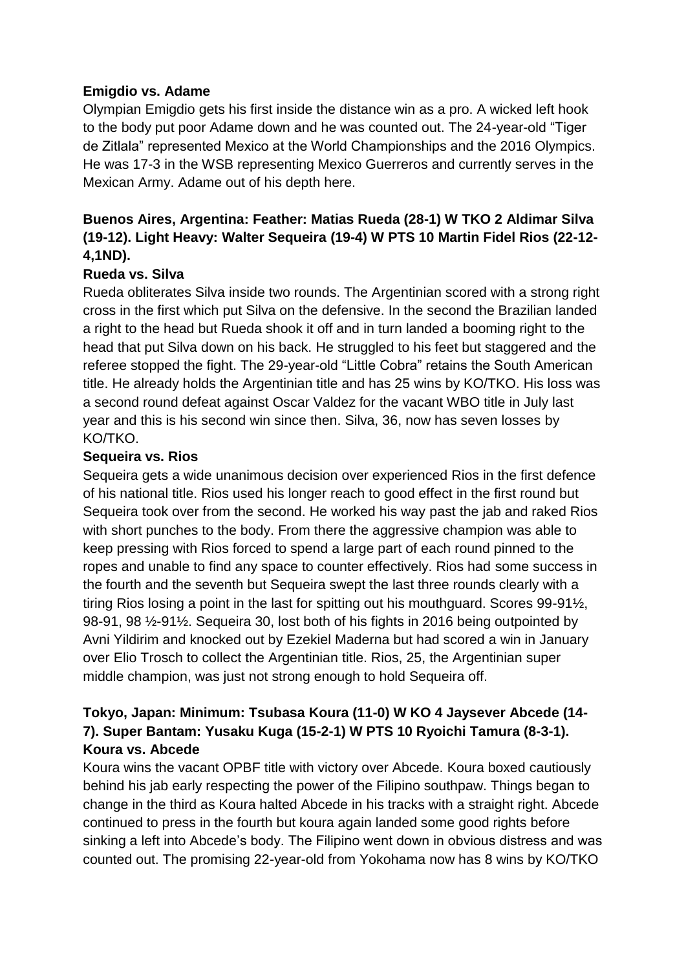### **Emigdio vs. Adame**

Olympian Emigdio gets his first inside the distance win as a pro. A wicked left hook to the body put poor Adame down and he was counted out. The 24-year-old "Tiger de Zitlala" represented Mexico at the World Championships and the 2016 Olympics. He was 17-3 in the WSB representing Mexico Guerreros and currently serves in the Mexican Army. Adame out of his depth here.

# **Buenos Aires, Argentina: Feather: Matias Rueda (28-1) W TKO 2 Aldimar Silva (19-12). Light Heavy: Walter Sequeira (19-4) W PTS 10 Martin Fidel Rios (22-12- 4,1ND).**

### **Rueda vs. Silva**

Rueda obliterates Silva inside two rounds. The Argentinian scored with a strong right cross in the first which put Silva on the defensive. In the second the Brazilian landed a right to the head but Rueda shook it off and in turn landed a booming right to the head that put Silva down on his back. He struggled to his feet but staggered and the referee stopped the fight. The 29-year-old "Little Cobra" retains the South American title. He already holds the Argentinian title and has 25 wins by KO/TKO. His loss was a second round defeat against Oscar Valdez for the vacant WBO title in July last year and this is his second win since then. Silva, 36, now has seven losses by KO/TKO.

### **Sequeira vs. Rios**

Sequeira gets a wide unanimous decision over experienced Rios in the first defence of his national title. Rios used his longer reach to good effect in the first round but Sequeira took over from the second. He worked his way past the jab and raked Rios with short punches to the body. From there the aggressive champion was able to keep pressing with Rios forced to spend a large part of each round pinned to the ropes and unable to find any space to counter effectively. Rios had some success in the fourth and the seventh but Sequeira swept the last three rounds clearly with a tiring Rios losing a point in the last for spitting out his mouthguard. Scores 99-91½, 98-91, 98 ½-91½. Sequeira 30, lost both of his fights in 2016 being outpointed by Avni Yildirim and knocked out by Ezekiel Maderna but had scored a win in January over Elio Trosch to collect the Argentinian title. Rios, 25, the Argentinian super middle champion, was just not strong enough to hold Sequeira off.

# **Tokyo, Japan: Minimum: Tsubasa Koura (11-0) W KO 4 Jaysever Abcede (14- 7). Super Bantam: Yusaku Kuga (15-2-1) W PTS 10 Ryoichi Tamura (8-3-1). Koura vs. Abcede**

Koura wins the vacant OPBF title with victory over Abcede. Koura boxed cautiously behind his jab early respecting the power of the Filipino southpaw. Things began to change in the third as Koura halted Abcede in his tracks with a straight right. Abcede continued to press in the fourth but koura again landed some good rights before sinking a left into Abcede's body. The Filipino went down in obvious distress and was counted out. The promising 22-year-old from Yokohama now has 8 wins by KO/TKO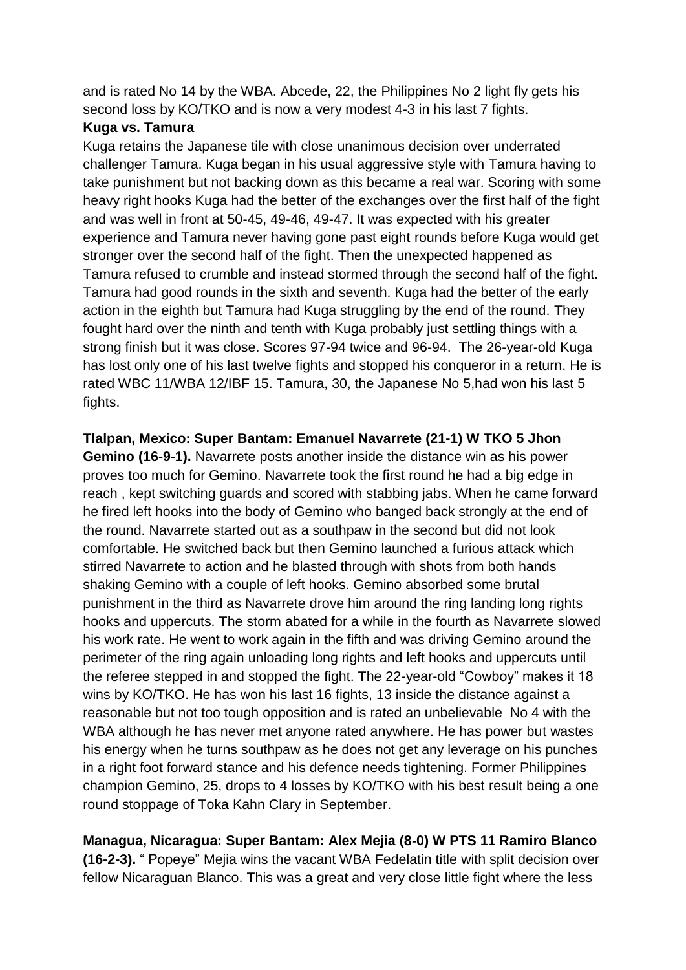and is rated No 14 by the WBA. Abcede, 22, the Philippines No 2 light fly gets his second loss by KO/TKO and is now a very modest 4-3 in his last 7 fights.

### **Kuga vs. Tamura**

Kuga retains the Japanese tile with close unanimous decision over underrated challenger Tamura. Kuga began in his usual aggressive style with Tamura having to take punishment but not backing down as this became a real war. Scoring with some heavy right hooks Kuga had the better of the exchanges over the first half of the fight and was well in front at 50-45, 49-46, 49-47. It was expected with his greater experience and Tamura never having gone past eight rounds before Kuga would get stronger over the second half of the fight. Then the unexpected happened as Tamura refused to crumble and instead stormed through the second half of the fight. Tamura had good rounds in the sixth and seventh. Kuga had the better of the early action in the eighth but Tamura had Kuga struggling by the end of the round. They fought hard over the ninth and tenth with Kuga probably just settling things with a strong finish but it was close. Scores 97-94 twice and 96-94. The 26-year-old Kuga has lost only one of his last twelve fights and stopped his conqueror in a return. He is rated WBC 11/WBA 12/IBF 15. Tamura, 30, the Japanese No 5,had won his last 5 fights.

**Tlalpan, Mexico: Super Bantam: Emanuel Navarrete (21-1) W TKO 5 Jhon Gemino (16-9-1).** Navarrete posts another inside the distance win as his power proves too much for Gemino. Navarrete took the first round he had a big edge in reach , kept switching guards and scored with stabbing jabs. When he came forward he fired left hooks into the body of Gemino who banged back strongly at the end of the round. Navarrete started out as a southpaw in the second but did not look comfortable. He switched back but then Gemino launched a furious attack which stirred Navarrete to action and he blasted through with shots from both hands shaking Gemino with a couple of left hooks. Gemino absorbed some brutal punishment in the third as Navarrete drove him around the ring landing long rights hooks and uppercuts. The storm abated for a while in the fourth as Navarrete slowed his work rate. He went to work again in the fifth and was driving Gemino around the perimeter of the ring again unloading long rights and left hooks and uppercuts until the referee stepped in and stopped the fight. The 22-year-old "Cowboy" makes it 18 wins by KO/TKO. He has won his last 16 fights, 13 inside the distance against a reasonable but not too tough opposition and is rated an unbelievable No 4 with the WBA although he has never met anyone rated anywhere. He has power but wastes his energy when he turns southpaw as he does not get any leverage on his punches in a right foot forward stance and his defence needs tightening. Former Philippines champion Gemino, 25, drops to 4 losses by KO/TKO with his best result being a one round stoppage of Toka Kahn Clary in September.

**Managua, Nicaragua: Super Bantam: Alex Mejia (8-0) W PTS 11 Ramiro Blanco (16-2-3).** " Popeye" Mejia wins the vacant WBA Fedelatin title with split decision over fellow Nicaraguan Blanco. This was a great and very close little fight where the less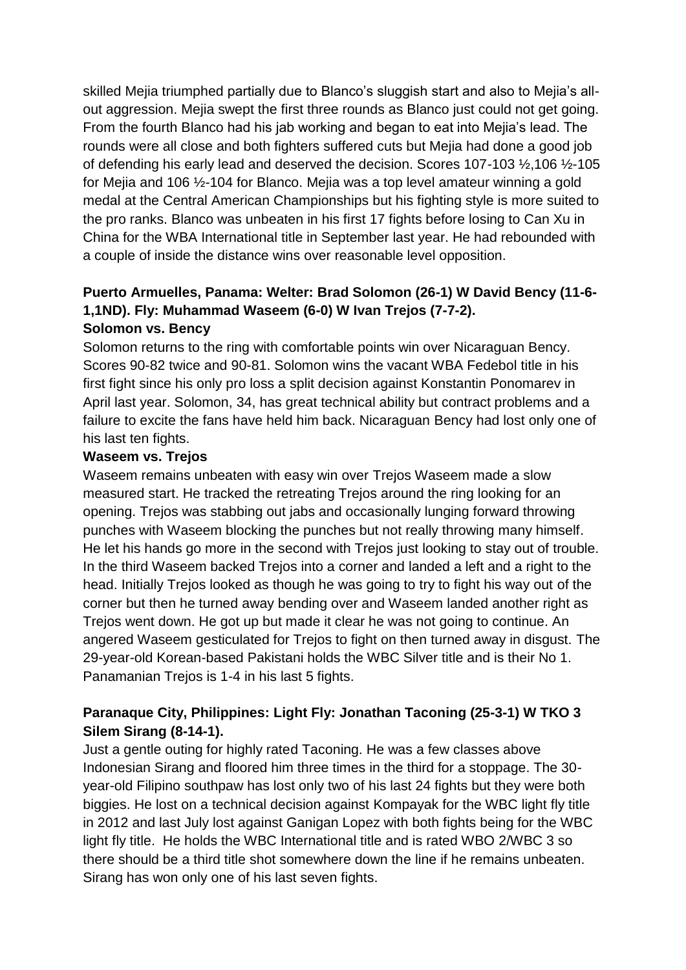skilled Mejia triumphed partially due to Blanco's sluggish start and also to Mejia's allout aggression. Mejia swept the first three rounds as Blanco just could not get going. From the fourth Blanco had his jab working and began to eat into Mejia's lead. The rounds were all close and both fighters suffered cuts but Mejia had done a good job of defending his early lead and deserved the decision. Scores 107-103 ½,106 ½-105 for Mejia and 106 ½-104 for Blanco. Mejia was a top level amateur winning a gold medal at the Central American Championships but his fighting style is more suited to the pro ranks. Blanco was unbeaten in his first 17 fights before losing to Can Xu in China for the WBA International title in September last year. He had rebounded with a couple of inside the distance wins over reasonable level opposition.

# **Puerto Armuelles, Panama: Welter: Brad Solomon (26-1) W David Bency (11-6- 1,1ND). Fly: Muhammad Waseem (6-0) W Ivan Trejos (7-7-2).**

### **Solomon vs. Bency**

Solomon returns to the ring with comfortable points win over Nicaraguan Bency. Scores 90-82 twice and 90-81. Solomon wins the vacant WBA Fedebol title in his first fight since his only pro loss a split decision against Konstantin Ponomarev in April last year. Solomon, 34, has great technical ability but contract problems and a failure to excite the fans have held him back. Nicaraguan Bency had lost only one of his last ten fights.

### **Waseem vs. Trejos**

Waseem remains unbeaten with easy win over Trejos Waseem made a slow measured start. He tracked the retreating Trejos around the ring looking for an opening. Trejos was stabbing out jabs and occasionally lunging forward throwing punches with Waseem blocking the punches but not really throwing many himself. He let his hands go more in the second with Trejos just looking to stay out of trouble. In the third Waseem backed Trejos into a corner and landed a left and a right to the head. Initially Trejos looked as though he was going to try to fight his way out of the corner but then he turned away bending over and Waseem landed another right as Trejos went down. He got up but made it clear he was not going to continue. An angered Waseem gesticulated for Trejos to fight on then turned away in disgust. The 29-year-old Korean-based Pakistani holds the WBC Silver title and is their No 1. Panamanian Trejos is 1-4 in his last 5 fights.

# **Paranaque City, Philippines: Light Fly: Jonathan Taconing (25-3-1) W TKO 3 Silem Sirang (8-14-1).**

Just a gentle outing for highly rated Taconing. He was a few classes above Indonesian Sirang and floored him three times in the third for a stoppage. The 30 year-old Filipino southpaw has lost only two of his last 24 fights but they were both biggies. He lost on a technical decision against Kompayak for the WBC light fly title in 2012 and last July lost against Ganigan Lopez with both fights being for the WBC light fly title. He holds the WBC International title and is rated WBO 2/WBC 3 so there should be a third title shot somewhere down the line if he remains unbeaten. Sirang has won only one of his last seven fights.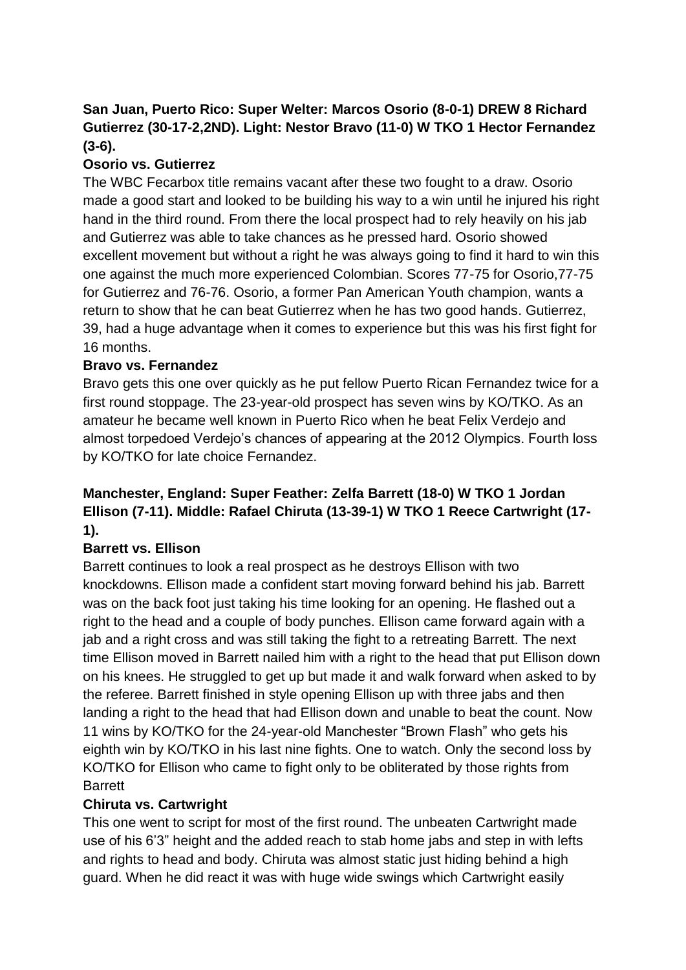# **San Juan, Puerto Rico: Super Welter: Marcos Osorio (8-0-1) DREW 8 Richard Gutierrez (30-17-2,2ND). Light: Nestor Bravo (11-0) W TKO 1 Hector Fernandez (3-6).**

# **Osorio vs. Gutierrez**

The WBC Fecarbox title remains vacant after these two fought to a draw. Osorio made a good start and looked to be building his way to a win until he injured his right hand in the third round. From there the local prospect had to rely heavily on his jab and Gutierrez was able to take chances as he pressed hard. Osorio showed excellent movement but without a right he was always going to find it hard to win this one against the much more experienced Colombian. Scores 77-75 for Osorio,77-75 for Gutierrez and 76-76. Osorio, a former Pan American Youth champion, wants a return to show that he can beat Gutierrez when he has two good hands. Gutierrez, 39, had a huge advantage when it comes to experience but this was his first fight for 16 months.

# **Bravo vs. Fernandez**

Bravo gets this one over quickly as he put fellow Puerto Rican Fernandez twice for a first round stoppage. The 23-year-old prospect has seven wins by KO/TKO. As an amateur he became well known in Puerto Rico when he beat Felix Verdejo and almost torpedoed Verdejo's chances of appearing at the 2012 Olympics. Fourth loss by KO/TKO for late choice Fernandez.

# **Manchester, England: Super Feather: Zelfa Barrett (18-0) W TKO 1 Jordan Ellison (7-11). Middle: Rafael Chiruta (13-39-1) W TKO 1 Reece Cartwright (17- 1).**

# **Barrett vs. Ellison**

Barrett continues to look a real prospect as he destroys Ellison with two knockdowns. Ellison made a confident start moving forward behind his jab. Barrett was on the back foot just taking his time looking for an opening. He flashed out a right to the head and a couple of body punches. Ellison came forward again with a jab and a right cross and was still taking the fight to a retreating Barrett. The next time Ellison moved in Barrett nailed him with a right to the head that put Ellison down on his knees. He struggled to get up but made it and walk forward when asked to by the referee. Barrett finished in style opening Ellison up with three jabs and then landing a right to the head that had Ellison down and unable to beat the count. Now 11 wins by KO/TKO for the 24-year-old Manchester "Brown Flash" who gets his eighth win by KO/TKO in his last nine fights. One to watch. Only the second loss by KO/TKO for Ellison who came to fight only to be obliterated by those rights from Barrett

# **Chiruta vs. Cartwright**

This one went to script for most of the first round. The unbeaten Cartwright made use of his 6'3" height and the added reach to stab home jabs and step in with lefts and rights to head and body. Chiruta was almost static just hiding behind a high guard. When he did react it was with huge wide swings which Cartwright easily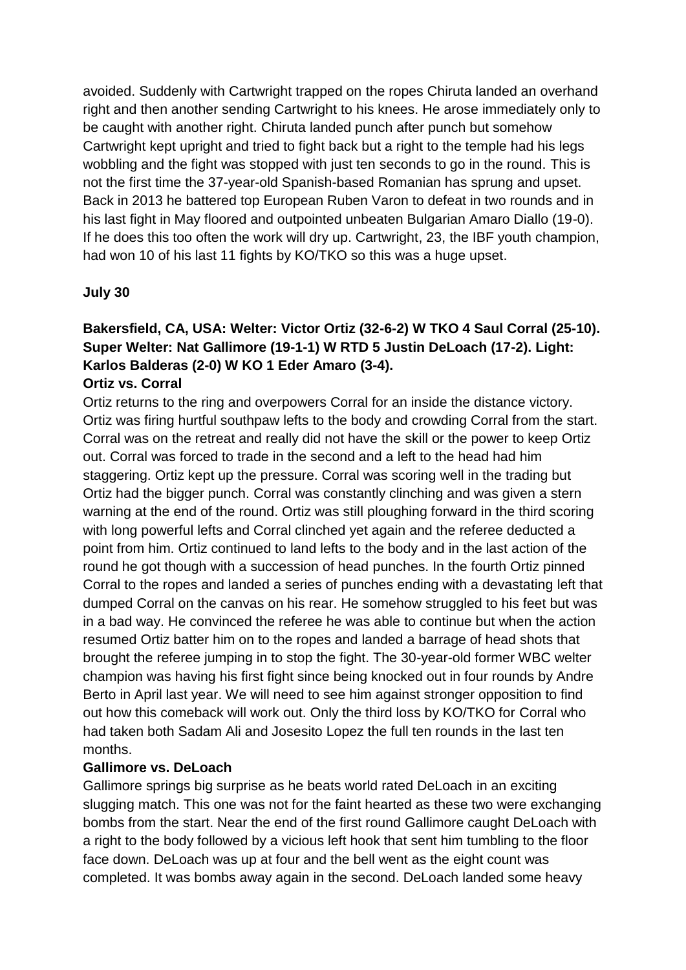avoided. Suddenly with Cartwright trapped on the ropes Chiruta landed an overhand right and then another sending Cartwright to his knees. He arose immediately only to be caught with another right. Chiruta landed punch after punch but somehow Cartwright kept upright and tried to fight back but a right to the temple had his legs wobbling and the fight was stopped with just ten seconds to go in the round. This is not the first time the 37-year-old Spanish-based Romanian has sprung and upset. Back in 2013 he battered top European Ruben Varon to defeat in two rounds and in his last fight in May floored and outpointed unbeaten Bulgarian Amaro Diallo (19-0). If he does this too often the work will dry up. Cartwright, 23, the IBF youth champion, had won 10 of his last 11 fights by KO/TKO so this was a huge upset.

### **July 30**

# **Bakersfield, CA, USA: Welter: Victor Ortiz (32-6-2) W TKO 4 Saul Corral (25-10). Super Welter: Nat Gallimore (19-1-1) W RTD 5 Justin DeLoach (17-2). Light: Karlos Balderas (2-0) W KO 1 Eder Amaro (3-4).**

### **Ortiz vs. Corral**

Ortiz returns to the ring and overpowers Corral for an inside the distance victory. Ortiz was firing hurtful southpaw lefts to the body and crowding Corral from the start. Corral was on the retreat and really did not have the skill or the power to keep Ortiz out. Corral was forced to trade in the second and a left to the head had him staggering. Ortiz kept up the pressure. Corral was scoring well in the trading but Ortiz had the bigger punch. Corral was constantly clinching and was given a stern warning at the end of the round. Ortiz was still ploughing forward in the third scoring with long powerful lefts and Corral clinched yet again and the referee deducted a point from him. Ortiz continued to land lefts to the body and in the last action of the round he got though with a succession of head punches. In the fourth Ortiz pinned Corral to the ropes and landed a series of punches ending with a devastating left that dumped Corral on the canvas on his rear. He somehow struggled to his feet but was in a bad way. He convinced the referee he was able to continue but when the action resumed Ortiz batter him on to the ropes and landed a barrage of head shots that brought the referee jumping in to stop the fight. The 30-year-old former WBC welter champion was having his first fight since being knocked out in four rounds by Andre Berto in April last year. We will need to see him against stronger opposition to find out how this comeback will work out. Only the third loss by KO/TKO for Corral who had taken both Sadam Ali and Josesito Lopez the full ten rounds in the last ten months.

### **Gallimore vs. DeLoach**

Gallimore springs big surprise as he beats world rated DeLoach in an exciting slugging match. This one was not for the faint hearted as these two were exchanging bombs from the start. Near the end of the first round Gallimore caught DeLoach with a right to the body followed by a vicious left hook that sent him tumbling to the floor face down. DeLoach was up at four and the bell went as the eight count was completed. It was bombs away again in the second. DeLoach landed some heavy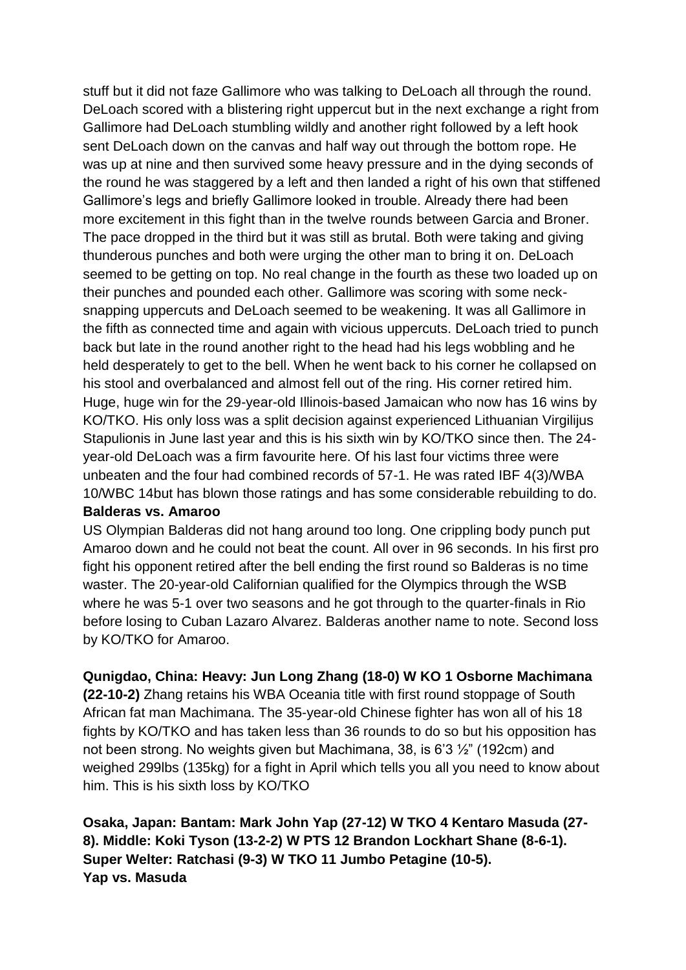stuff but it did not faze Gallimore who was talking to DeLoach all through the round. DeLoach scored with a blistering right uppercut but in the next exchange a right from Gallimore had DeLoach stumbling wildly and another right followed by a left hook sent DeLoach down on the canvas and half way out through the bottom rope. He was up at nine and then survived some heavy pressure and in the dying seconds of the round he was staggered by a left and then landed a right of his own that stiffened Gallimore's legs and briefly Gallimore looked in trouble. Already there had been more excitement in this fight than in the twelve rounds between Garcia and Broner. The pace dropped in the third but it was still as brutal. Both were taking and giving thunderous punches and both were urging the other man to bring it on. DeLoach seemed to be getting on top. No real change in the fourth as these two loaded up on their punches and pounded each other. Gallimore was scoring with some necksnapping uppercuts and DeLoach seemed to be weakening. It was all Gallimore in the fifth as connected time and again with vicious uppercuts. DeLoach tried to punch back but late in the round another right to the head had his legs wobbling and he held desperately to get to the bell. When he went back to his corner he collapsed on his stool and overbalanced and almost fell out of the ring. His corner retired him. Huge, huge win for the 29-year-old Illinois-based Jamaican who now has 16 wins by KO/TKO. His only loss was a split decision against experienced Lithuanian Virgilijus Stapulionis in June last year and this is his sixth win by KO/TKO since then. The 24 year-old DeLoach was a firm favourite here. Of his last four victims three were unbeaten and the four had combined records of 57-1. He was rated IBF 4(3)/WBA 10/WBC 14but has blown those ratings and has some considerable rebuilding to do.

### **Balderas vs. Amaroo**

US Olympian Balderas did not hang around too long. One crippling body punch put Amaroo down and he could not beat the count. All over in 96 seconds. In his first pro fight his opponent retired after the bell ending the first round so Balderas is no time waster. The 20-year-old Californian qualified for the Olympics through the WSB where he was 5-1 over two seasons and he got through to the quarter-finals in Rio before losing to Cuban Lazaro Alvarez. Balderas another name to note. Second loss by KO/TKO for Amaroo.

**Qunigdao, China: Heavy: Jun Long Zhang (18-0) W KO 1 Osborne Machimana** 

**(22-10-2)** Zhang retains his WBA Oceania title with first round stoppage of South African fat man Machimana. The 35-year-old Chinese fighter has won all of his 18 fights by KO/TKO and has taken less than 36 rounds to do so but his opposition has not been strong. No weights given but Machimana, 38, is 6'3 ½" (192cm) and weighed 299lbs (135kg) for a fight in April which tells you all you need to know about him. This is his sixth loss by KO/TKO

**Osaka, Japan: Bantam: Mark John Yap (27-12) W TKO 4 Kentaro Masuda (27- 8). Middle: Koki Tyson (13-2-2) W PTS 12 Brandon Lockhart Shane (8-6-1). Super Welter: Ratchasi (9-3) W TKO 11 Jumbo Petagine (10-5). Yap vs. Masuda**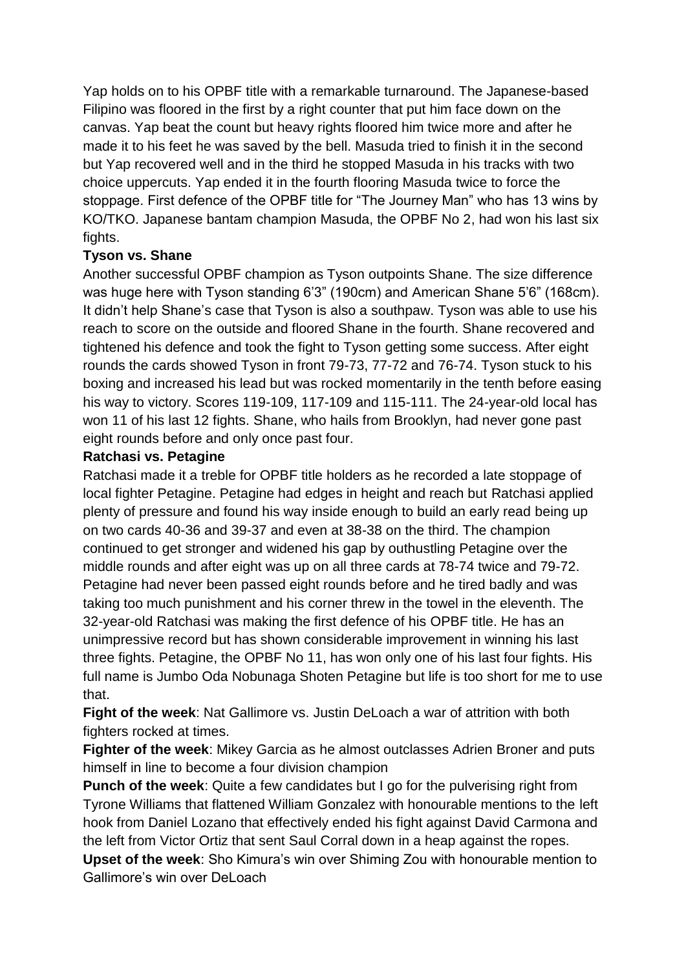Yap holds on to his OPBF title with a remarkable turnaround. The Japanese-based Filipino was floored in the first by a right counter that put him face down on the canvas. Yap beat the count but heavy rights floored him twice more and after he made it to his feet he was saved by the bell. Masuda tried to finish it in the second but Yap recovered well and in the third he stopped Masuda in his tracks with two choice uppercuts. Yap ended it in the fourth flooring Masuda twice to force the stoppage. First defence of the OPBF title for "The Journey Man" who has 13 wins by KO/TKO. Japanese bantam champion Masuda, the OPBF No 2, had won his last six fights.

### **Tyson vs. Shane**

Another successful OPBF champion as Tyson outpoints Shane. The size difference was huge here with Tyson standing 6'3" (190cm) and American Shane 5'6" (168cm). It didn't help Shane's case that Tyson is also a southpaw. Tyson was able to use his reach to score on the outside and floored Shane in the fourth. Shane recovered and tightened his defence and took the fight to Tyson getting some success. After eight rounds the cards showed Tyson in front 79-73, 77-72 and 76-74. Tyson stuck to his boxing and increased his lead but was rocked momentarily in the tenth before easing his way to victory. Scores 119-109, 117-109 and 115-111. The 24-year-old local has won 11 of his last 12 fights. Shane, who hails from Brooklyn, had never gone past eight rounds before and only once past four.

### **Ratchasi vs. Petagine**

Ratchasi made it a treble for OPBF title holders as he recorded a late stoppage of local fighter Petagine. Petagine had edges in height and reach but Ratchasi applied plenty of pressure and found his way inside enough to build an early read being up on two cards 40-36 and 39-37 and even at 38-38 on the third. The champion continued to get stronger and widened his gap by outhustling Petagine over the middle rounds and after eight was up on all three cards at 78-74 twice and 79-72. Petagine had never been passed eight rounds before and he tired badly and was taking too much punishment and his corner threw in the towel in the eleventh. The 32-year-old Ratchasi was making the first defence of his OPBF title. He has an unimpressive record but has shown considerable improvement in winning his last three fights. Petagine, the OPBF No 11, has won only one of his last four fights. His full name is Jumbo Oda Nobunaga Shoten Petagine but life is too short for me to use that.

**Fight of the week**: Nat Gallimore vs. Justin DeLoach a war of attrition with both fighters rocked at times.

**Fighter of the week**: Mikey Garcia as he almost outclasses Adrien Broner and puts himself in line to become a four division champion

**Punch of the week**: Quite a few candidates but I go for the pulverising right from Tyrone Williams that flattened William Gonzalez with honourable mentions to the left hook from Daniel Lozano that effectively ended his fight against David Carmona and the left from Victor Ortiz that sent Saul Corral down in a heap against the ropes.

**Upset of the week**: Sho Kimura's win over Shiming Zou with honourable mention to Gallimore's win over DeLoach